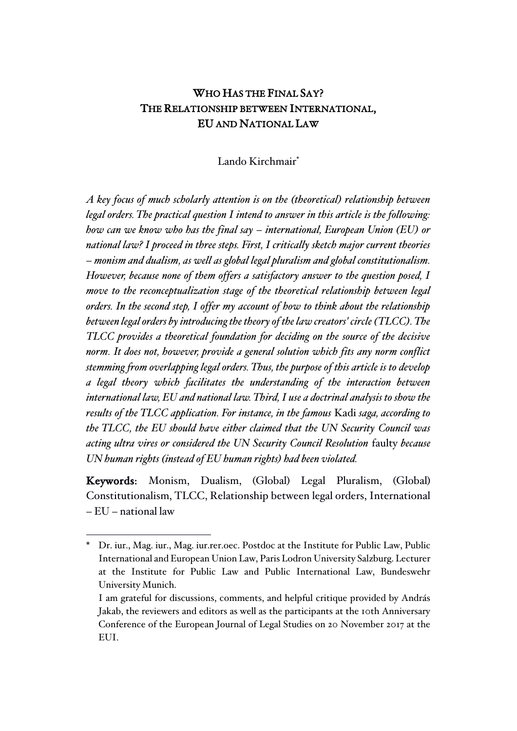# WHO HAS THE FINAL SAY? THE RELATIONSHIP BETWEEN INTERNATIONAL, EU AND NATIONAL LAW

## Lando Kirchmair<sup>\*</sup>

*A key focus of much scholarly attention is on the (theoretical) relationship between legal orders.The practical question I intend to answer in this article is the following: how can we know who has the final say – international, European Union (EU) or national law? I proceed in three steps. First, I critically sketch major current theories – monism and dualism, as well as global legal pluralism and global constitutionalism. However, because none of them offers a satisfactory answer to the question posed, I move to the reconceptualization stage of the theoretical relationship between legal orders. In the second step, I offer my account of how to think about the relationship between legal orders by introducing the theory of the law creators' circle (TLCC). The TLCC provides a theoretical foundation for deciding on the source of the decisive norm. It does not, however, provide a general solution which fits any norm conflict stemming from overlapping legal orders. Thus, the purpose of this article is to develop a legal theory which facilitates the understanding of the interaction between international law, EU and national law. Third, I use a doctrinal analysis to show the results of the TLCC application. For instance, in the famous* Kadi *saga, according to the TLCC, the EU should have either claimed that the UN Security Council was acting ultra vires or considered the UN Security Council Resolution* faulty *because UN human rights (instead of EU human rights) had been violated.*

Keywords: Monism, Dualism, (Global) Legal Pluralism, (Global) Constitutionalism, TLCC, Relationship between legal orders, International – EU – national law

Dr. iur., Mag. iur., Mag. iur.rer.oec. Postdoc at the Institute for Public Law, Public International and European Union Law, Paris Lodron University Salzburg. Lecturer at the Institute for Public Law and Public International Law, Bundeswehr University Munich.

I am grateful for discussions, comments, and helpful critique provided by András Jakab, the reviewers and editors as well as the participants at the 10th Anniversary Conference of the European Journal of Legal Studies on 20 November 2017 at the EUI.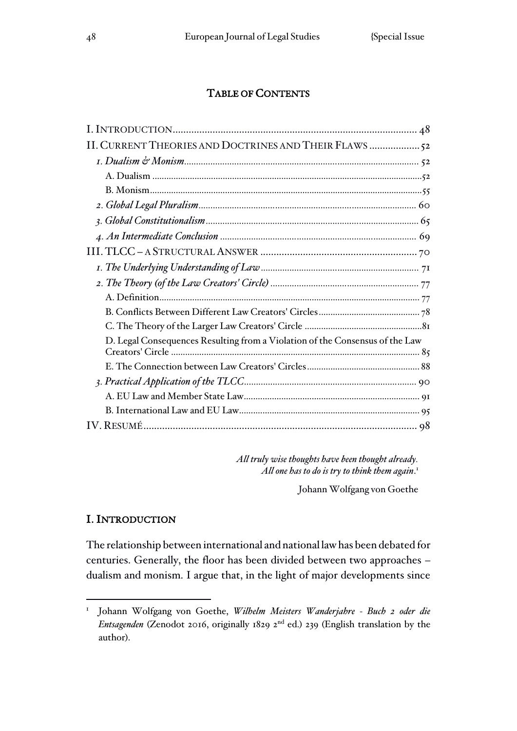## TABLE OF CONTENTS

| II. CURRENT THEORIES AND DOCTRINES AND THEIR FLAWS  52                       |  |
|------------------------------------------------------------------------------|--|
|                                                                              |  |
|                                                                              |  |
|                                                                              |  |
|                                                                              |  |
|                                                                              |  |
|                                                                              |  |
|                                                                              |  |
|                                                                              |  |
|                                                                              |  |
|                                                                              |  |
|                                                                              |  |
|                                                                              |  |
| D. Legal Consequences Resulting from a Violation of the Consensus of the Law |  |
|                                                                              |  |
|                                                                              |  |
|                                                                              |  |
|                                                                              |  |
|                                                                              |  |
|                                                                              |  |

*All truly wise thoughts have been thought already. All one has to do is try to think them again*. 1

Johann Wolfgang von Goethe

## I. INTRODUCTION

 $\overline{a}$ 

The relationship between international and national law has been debated for centuries. Generally, the floor has been divided between two approaches – dualism and monism. I argue that, in the light of major developments since

<sup>1</sup> Johann Wolfgang von Goethe, *Wilhelm Meisters Wanderjahre - Buch 2 oder die Entsagenden* (Zenodot 2016, originally 1829 2<sup>nd</sup> ed.) 239 (English translation by the author).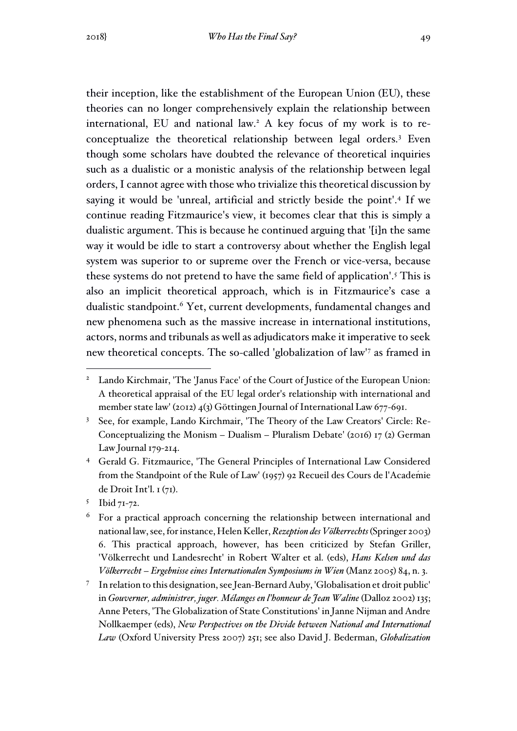their inception, like the establishment of the European Union (EU), these theories can no longer comprehensively explain the relationship between international, EU and national law.<sup>2</sup> A key focus of my work is to reconceptualize the theoretical relationship between legal orders.<sup>3</sup> Even though some scholars have doubted the relevance of theoretical inquiries such as a dualistic or a monistic analysis of the relationship between legal orders, I cannot agree with those who trivialize this theoretical discussion by saying it would be 'unreal, artificial and strictly beside the point'.<sup>4</sup> If we continue reading Fitzmaurice's view, it becomes clear that this is simply a dualistic argument. This is because he continued arguing that '[i]n the same way it would be idle to start a controversy about whether the English legal system was superior to or supreme over the French or vice-versa, because these systems do not pretend to have the same field of application'.<sup>5</sup> This is also an implicit theoretical approach, which is in Fitzmaurice's case a dualistic standpoint.<sup>6</sup> Yet, current developments, fundamental changes and new phenomena such as the massive increase in international institutions, actors, norms and tribunals as well as adjudicators make it imperative to seek new theoretical concepts. The so-called 'globalization of law'<sup>7</sup> as framed in

<sup>2</sup> Lando Kirchmair, 'The 'Janus Face' of the Court of Justice of the European Union: A theoretical appraisal of the EU legal order's relationship with international and member state law' (2012) 4(3) Göttingen Journal of International Law 677-691.

<sup>3</sup> See, for example, Lando Kirchmair, 'The Theory of the Law Creators' Circle: Re-Conceptualizing the Monism – Dualism – Pluralism Debate' (2016) 17 (2) German Law Journal 179-214.

<sup>4</sup> Gerald G. Fitzmaurice, 'The General Principles of International Law Considered from the Standpoint of the Rule of Law' (1957) 92 Recueil des Cours de l'Académie de Droit Int'l. 1 (71).

<sup>5</sup> Ibid 71-72.

<sup>6</sup> For a practical approach concerning the relationship between international and national law, see, for instance, Helen Keller, *Rezeption des Völkerrechts* (Springer 2003) 6. This practical approach, however, has been criticized by Stefan Griller, 'Völkerrecht und Landesrecht' in Robert Walter et al. (eds), *Hans Kelsen und das Völkerrecht – Ergebnisse eines Internationalen Symposiums in Wien* (Manz 2005) 84, n. 3.

<sup>7</sup> In relation to this designation, see Jean-Bernard Auby, 'Globalisation et droit public' in *Gouverner, administrer, juger. Mélanges en l'honneur de Jean Waline* (Dalloz 2002) 135; Anne Peters, 'The Globalization of State Constitutions' in Janne Nijman and Andre Nollkaemper (eds), *New Perspectives on the Divide between National and International Law* (Oxford University Press 2007) 251; see also David J. Bederman, *Globalization*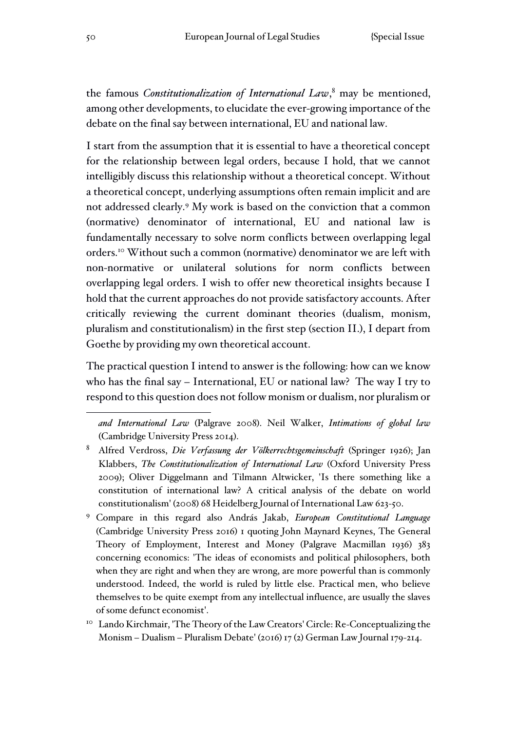the famous *Constitutionalization of International Law*, <sup>8</sup> may be mentioned, among other developments, to elucidate the ever-growing importance of the debate on the final say between international, EU and national law.

I start from the assumption that it is essential to have a theoretical concept for the relationship between legal orders, because I hold, that we cannot intelligibly discuss this relationship without a theoretical concept. Without a theoretical concept, underlying assumptions often remain implicit and are not addressed clearly.<sup>9</sup> My work is based on the conviction that a common (normative) denominator of international, EU and national law is fundamentally necessary to solve norm conflicts between overlapping legal orders.<sup>10</sup> Without such a common (normative) denominator we are left with non-normative or unilateral solutions for norm conflicts between overlapping legal orders. I wish to offer new theoretical insights because I hold that the current approaches do not provide satisfactory accounts. After critically reviewing the current dominant theories (dualism, monism, pluralism and constitutionalism) in the first step (section II.), I depart from Goethe by providing my own theoretical account.

The practical question I intend to answer is the following: how can we know who has the final say – International, EU or national law? The way I try to respond to this question does not follow monism or dualism, nor pluralism or

- <sup>8</sup> Alfred Verdross, *Die Verfassung der Völkerrechtsgemeinschaft* (Springer 1926); Jan Klabbers, *The Constitutionalization of International Law* (Oxford University Press 2009); Oliver Diggelmann and Tilmann Altwicker, 'Is there something like a constitution of international law? A critical analysis of the debate on world constitutionalism' (2008) 68 Heidelberg Journal of International Law 623-50.
- <sup>9</sup> Compare in this regard also András Jakab, *European Constitutional Language* (Cambridge University Press 2016) 1 quoting John Maynard Keynes, The General Theory of Employment, Interest and Money (Palgrave Macmillan 1936) 383 concerning economics: 'The ideas of economists and political philosophers, both when they are right and when they are wrong, are more powerful than is commonly understood. Indeed, the world is ruled by little else. Practical men, who believe themselves to be quite exempt from any intellectual influence, are usually the slaves of some defunct economist'.
- <sup>10</sup> Lando Kirchmair, 'The Theory of the Law Creators' Circle: Re-Conceptualizing the Monism – Dualism – Pluralism Debate' (2016) 17 (2) German Law Journal 179-214.

*and International Law* (Palgrave 2008). Neil Walker, *Intimations of global law* (Cambridge University Press 2014).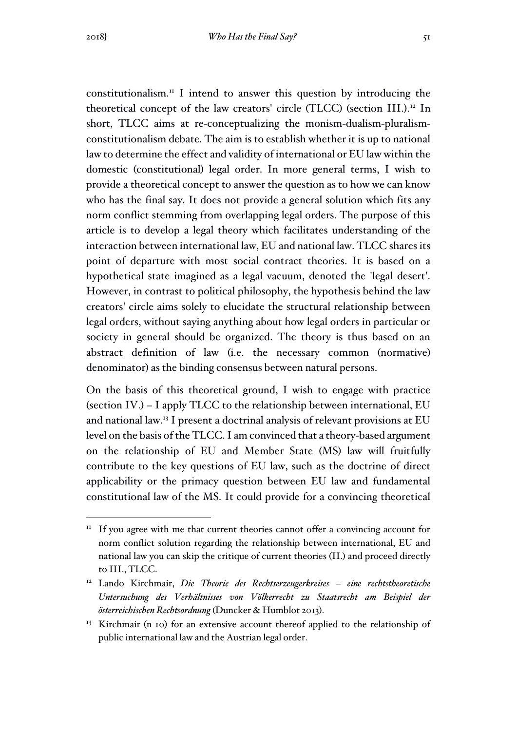$\overline{a}$ 

constitutionalism.<sup> $\text{II}$ </sup> I intend to answer this question by introducing the theoretical concept of the law creators' circle (TLCC) (section III.).<sup>12</sup> In short, TLCC aims at re-conceptualizing the monism-dualism-pluralismconstitutionalism debate. The aim is to establish whether it is up to national law to determine the effect and validity of international or EU law within the domestic (constitutional) legal order. In more general terms, I wish to provide a theoretical concept to answer the question as to how we can know who has the final say. It does not provide a general solution which fits any norm conflict stemming from overlapping legal orders. The purpose of this article is to develop a legal theory which facilitates understanding of the interaction between international law, EU and national law. TLCC shares its point of departure with most social contract theories. It is based on a hypothetical state imagined as a legal vacuum, denoted the 'legal desert'. However, in contrast to political philosophy, the hypothesis behind the law creators' circle aims solely to elucidate the structural relationship between legal orders, without saying anything about how legal orders in particular or society in general should be organized. The theory is thus based on an abstract definition of law (i.e. the necessary common (normative) denominator) as the binding consensus between natural persons.

On the basis of this theoretical ground, I wish to engage with practice (section IV.) – I apply TLCC to the relationship between international, EU and national law.<sup>13</sup> I present a doctrinal analysis of relevant provisions at EU level on the basis of the TLCC. I am convinced that a theory-based argument on the relationship of EU and Member State (MS) law will fruitfully contribute to the key questions of EU law, such as the doctrine of direct applicability or the primacy question between EU law and fundamental constitutional law of the MS. It could provide for a convincing theoretical

 $II$  If you agree with me that current theories cannot offer a convincing account for norm conflict solution regarding the relationship between international, EU and national law you can skip the critique of current theories (II.) and proceed directly to III., TLCC.

<sup>12</sup> Lando Kirchmair, *Die Theorie des Rechtserzeugerkreises – eine rechtstheoretische Untersuchung des Verhältnisses von Völkerrecht zu Staatsrecht am Beispiel der österreichischen Rechtsordnung* (Duncker & Humblot 2013).

<sup>&</sup>lt;sup>13</sup> Kirchmair (n 10) for an extensive account thereof applied to the relationship of public international law and the Austrian legal order.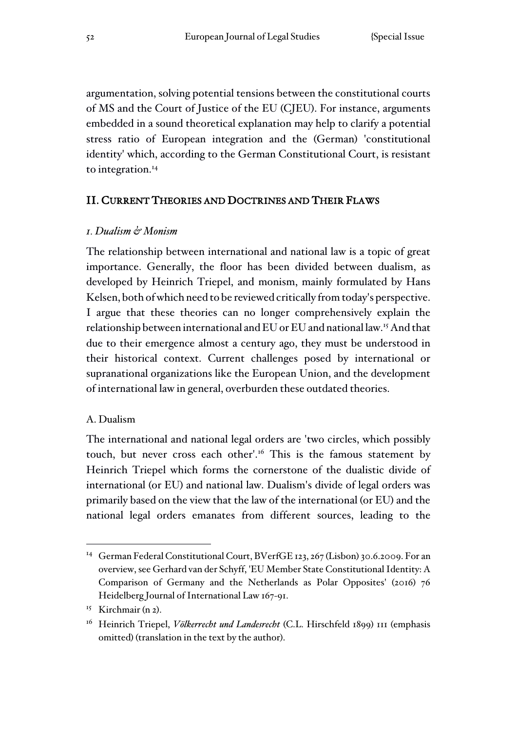argumentation, solving potential tensions between the constitutional courts of MS and the Court of Justice of the EU (CJEU). For instance, arguments embedded in a sound theoretical explanation may help to clarify a potential stress ratio of European integration and the (German) 'constitutional identity' which, according to the German Constitutional Court, is resistant to integration.<sup>14</sup>

## II. CURRENT THEORIES AND DOCTRINES AND THEIR FLAWS

#### *1. Dualism & Monism*

The relationship between international and national law is a topic of great importance. Generally, the floor has been divided between dualism, as developed by Heinrich Triepel, and monism, mainly formulated by Hans Kelsen, both of which need to be reviewed critically from today's perspective. I argue that these theories can no longer comprehensively explain the relationship between international and EU or EU and national law.<sup>15</sup> And that due to their emergence almost a century ago, they must be understood in their historical context. Current challenges posed by international or supranational organizations like the European Union, and the development of international law in general, overburden these outdated theories.

#### A. Dualism

 $\overline{a}$ 

The international and national legal orders are 'two circles, which possibly touch, but never cross each other'.<sup>16</sup> This is the famous statement by Heinrich Triepel which forms the cornerstone of the dualistic divide of international (or EU) and national law. Dualism's divide of legal orders was primarily based on the view that the law of the international (or EU) and the national legal orders emanates from different sources, leading to the

<sup>&</sup>lt;sup>14</sup> German Federal Constitutional Court, BVerfGE 123, 267 (Lisbon) 30.6.2009. For an overview, see Gerhard van der Schyff, 'EU Member State Constitutional Identity: A Comparison of Germany and the Netherlands as Polar Opposites' (2016) 76 Heidelberg Journal of International Law 167-91.

<sup>&</sup>lt;sup>15</sup> Kirchmair (n 2).

<sup>&</sup>lt;sup>16</sup> Heinrich Triepel, *Völkerrecht und Landesrecht* (C.L. Hirschfeld 1899) 111 (emphasis omitted) (translation in the text by the author).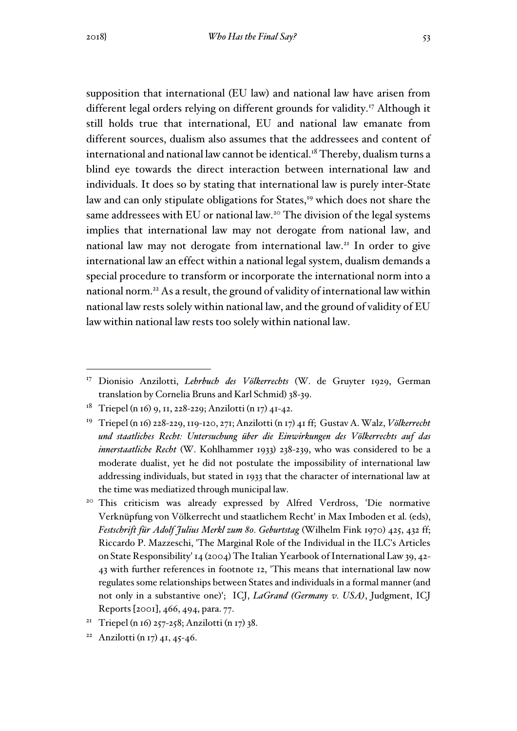$\overline{a}$ 

supposition that international (EU law) and national law have arisen from different legal orders relying on different grounds for validity.<sup>17</sup> Although it still holds true that international, EU and national law emanate from different sources, dualism also assumes that the addressees and content of international and national law cannot be identical.<sup>18</sup> Thereby, dualism turns a blind eye towards the direct interaction between international law and individuals. It does so by stating that international law is purely inter-State law and can only stipulate obligations for States,<sup>19</sup> which does not share the same addressees with EU or national law.<sup>20</sup> The division of the legal systems implies that international law may not derogate from national law, and national law may not derogate from international law.<sup>21</sup> In order to give international law an effect within a national legal system, dualism demands a special procedure to transform or incorporate the international norm into a national norm.<sup>22</sup> As a result, the ground of validity of international law within national law rests solely within national law, and the ground of validity of EU law within national law rests too solely within national law.

<sup>17</sup> Dionisio Anzilotti, *Lehrbuch des Völkerrechts* (W. de Gruyter 1929, German translation by Cornelia Bruns and Karl Schmid) 38-39.

<sup>&</sup>lt;sup>18</sup> Triepel (n 16) 9, 11, 228-229; Anzilotti (n 17) 41-42.

<sup>19</sup> Triepel (n 16) 228-229, 119-120, 271; Anzilotti (n 17) 41 ff; Gustav A. Walz, *Völkerrecht und staatliches Recht: Untersuchung über die Einwirkungen des Völkerrechts auf das innerstaatliche Recht* (W. Kohlhammer 1933) 238-239, who was considered to be a moderate dualist, yet he did not postulate the impossibility of international law addressing individuals, but stated in 1933 that the character of international law at the time was mediatized through municipal law.

<sup>20</sup> This criticism was already expressed by Alfred Verdross, 'Die normative Verknüpfung von Völkerrecht und staatlichem Recht' in Max Imboden et al. (eds), *Festschrift für Adolf Julius Merkl zum 80. Geburtstag* (Wilhelm Fink 1970) 425, 432 ff; Riccardo P. Mazzeschi, 'The Marginal Role of the Individual in the ILC's Articles on State Responsibility' 14 (2004) The Italian Yearbook of International Law 39, 42- 43 with further references in footnote 12, 'This means that international law now regulates some relationships between States and individuals in a formal manner (and not only in a substantive one)'; ICJ, *LaGrand (Germany v. USA)*, Judgment, ICJ Reports [2001], 466, 494, para. 77.

Triepel (n 16) 257-258; Anzilotti (n 17) 38.

<sup>&</sup>lt;sup>22</sup> Anzilotti (n 17) 41, 45-46.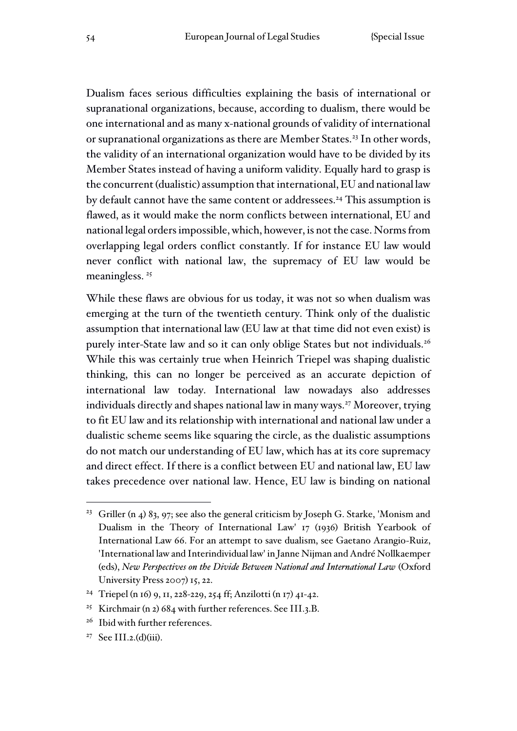Dualism faces serious difficulties explaining the basis of international or supranational organizations, because, according to dualism, there would be one international and as many x-national grounds of validity of international or supranational organizations as there are Member States.<sup>23</sup> In other words, the validity of an international organization would have to be divided by its Member States instead of having a uniform validity. Equally hard to grasp is the concurrent (dualistic) assumption that international, EU and national law by default cannot have the same content or addressees.<sup>24</sup> This assumption is flawed, as it would make the norm conflicts between international, EU and national legal orders impossible, which, however, is not the case. Norms from overlapping legal orders conflict constantly. If for instance EU law would never conflict with national law, the supremacy of EU law would be meaningless.<sup>25</sup>

While these flaws are obvious for us today, it was not so when dualism was emerging at the turn of the twentieth century. Think only of the dualistic assumption that international law (EU law at that time did not even exist) is purely inter-State law and so it can only oblige States but not individuals.<sup>26</sup> While this was certainly true when Heinrich Triepel was shaping dualistic thinking, this can no longer be perceived as an accurate depiction of international law today. International law nowadays also addresses individuals directly and shapes national law in many ways.<sup>27</sup> Moreover, trying to fit EU law and its relationship with international and national law under a dualistic scheme seems like squaring the circle, as the dualistic assumptions do not match our understanding of EU law, which has at its core supremacy and direct effect. If there is a conflict between EU and national law, EU law takes precedence over national law. Hence, EU law is binding on national

<sup>&</sup>lt;sup>23</sup> Griller (n 4) 83, 97; see also the general criticism by Joseph G. Starke, 'Monism and Dualism in the Theory of International Law' 17 (1936) British Yearbook of International Law 66. For an attempt to save dualism, see Gaetano Arangio-Ruiz, 'International law and Interindividual law' in Janne Nijman and André Nollkaemper (eds), *New Perspectives on the Divide Between National and International Law* (Oxford University Press 2007) 15, 22.

<sup>24</sup> Triepel (n 16) 9, 11, 228-229, 254 ff; Anzilotti (n 17) 41-42.

<sup>&</sup>lt;sup>25</sup> Kirchmair (n 2)  $684$  with further references. See III.3.B.

<sup>&</sup>lt;sup>26</sup> Ibid with further references.

 $27$  See III.2.(d)(iii).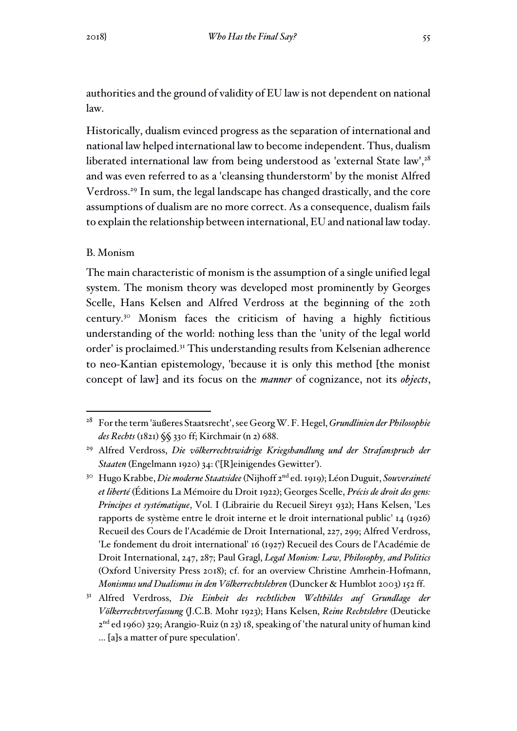authorities and the ground of validity of EU law is not dependent on national law.

Historically, dualism evinced progress as the separation of international and national law helped international law to become independent. Thus, dualism liberated international law from being understood as 'external State law',<sup>28</sup> and was even referred to as a 'cleansing thunderstorm' by the monist Alfred Verdross.<sup>29</sup> In sum, the legal landscape has changed drastically, and the core assumptions of dualism are no more correct. As a consequence, dualism fails to explain the relationship between international, EU and national law today.

#### B. Monism

 $\overline{a}$ 

The main characteristic of monism is the assumption of a single unified legal system. The monism theory was developed most prominently by Georges Scelle, Hans Kelsen and Alfred Verdross at the beginning of the 20th century.<sup>30</sup> Monism faces the criticism of having a highly fictitious understanding of the world: nothing less than the 'unity of the legal world order' is proclaimed.<sup>31</sup> This understanding results from Kelsenian adherence to neo-Kantian epistemology, 'because it is only this method [the monist concept of law] and its focus on the *manner* of cognizance, not its *objects*,

<sup>28</sup> For the term 'äußeres Staatsrecht', see Georg W. F. Hegel, *Grundlinien der Philosophie des Rechts* (1821) §§ 330 ff; Kirchmair (n 2) 688.

<sup>29</sup> Alfred Verdross, *Die völkerrechtswidrige Kriegshandlung und der Strafanspruch der Staaten* (Engelmann 1920) 34: ('[R]einigendes Gewitter').

<sup>30</sup> Hugo Krabbe, *Die moderne Staatsidee* (Nijhoff 2nd ed. 1919); Léon Duguit, *Souveraineté et liberté* (Éditions La Mémoire du Droit 1922); Georges Scelle, *Précis de droit des gens: Principes et systématique*, Vol. I (Librairie du Recueil Sirey1 932); Hans Kelsen, 'Les rapports de système entre le droit interne et le droit international public' 14 (1926) Recueil des Cours de l'Académie de Droit International, 227, 299; Alfred Verdross, 'Le fondement du droit international' 16 (1927) Recueil des Cours de l'Académie de Droit International, 247, 287; Paul Gragl, *Legal Monism: Law, Philosophy, and Politics* (Oxford University Press 2018); cf. for an overview Christine Amrhein-Hofmann, *Monismus und Dualismus in den Völkerrechtslehren* (Duncker & Humblot 2003) 152 ff.

<sup>31</sup> Alfred Verdross, *Die Einheit des rechtlichen Weltbildes auf Grundlage der Völkerrechtsverfassung* (J.C.B. Mohr 1923); Hans Kelsen, *Reine Rechtslehre* (Deuticke 2<sup>nd</sup> ed 1960) 329; Arangio-Ruiz (n 23) 18, speaking of 'the natural unity of human kind … [a]s a matter of pure speculation'.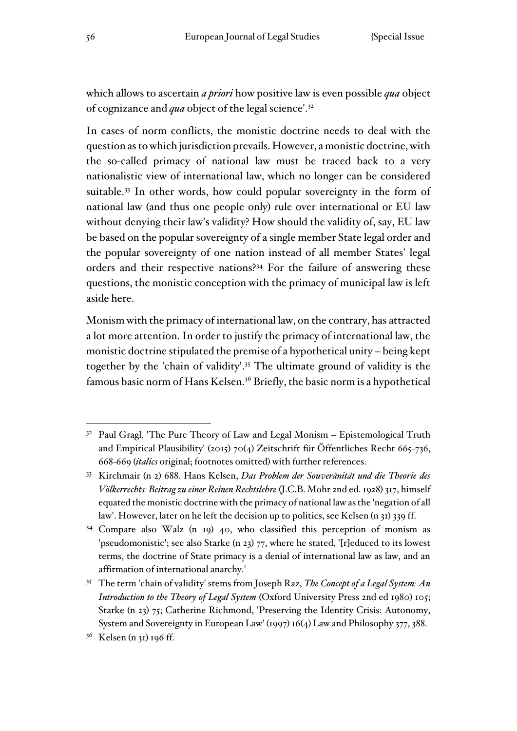which allows to ascertain *a priori* how positive law is even possible *qua* object of cognizance and *qua* object of the legal science'.<sup>32</sup>

In cases of norm conflicts, the monistic doctrine needs to deal with the question as to which jurisdiction prevails. However, a monistic doctrine, with the so-called primacy of national law must be traced back to a very nationalistic view of international law, which no longer can be considered suitable.<sup>33</sup> In other words, how could popular sovereignty in the form of national law (and thus one people only) rule over international or EU law without denying their law's validity? How should the validity of, say, EU law be based on the popular sovereignty of a single member State legal order and the popular sovereignty of one nation instead of all member States' legal orders and their respective nations?<sup>34</sup> For the failure of answering these questions, the monistic conception with the primacy of municipal law is left aside here.

Monism with the primacy of international law, on the contrary, has attracted a lot more attention. In order to justify the primacy of international law, the monistic doctrine stipulated the premise of a hypothetical unity – being kept together by the 'chain of validity'.<sup>35</sup> The ultimate ground of validity is the famous basic norm of Hans Kelsen.<sup>36</sup> Briefly, the basic norm is a hypothetical

 $32$  Paul Gragl, 'The Pure Theory of Law and Legal Monism – Epistemological Truth and Empirical Plausibility' (2015) 70(4) Zeitschrift für Öffentliches Recht 665-736, 668-669 (*italics* original; footnotes omitted) with further references.

<sup>33</sup> Kirchmair (n 2) 688. Hans Kelsen, *Das Problem der Souveränität und die Theorie des Völkerrechts: Beitrag zu einer Reinen Rechtslehre* (J.C.B. Mohr 2nd ed. 1928) 317, himself equated the monistic doctrine with the primacy of national law as the 'negation of all law'. However, later on he left the decision up to politics, see Kelsen (n 31) 339 ff.

<sup>34</sup> Compare also Walz (n 19) 40, who classified this perception of monism as 'pseudomonistic'; see also Starke (n 23) 77, where he stated, '[r]educed to its lowest terms, the doctrine of State primacy is a denial of international law as law, and an affirmation of international anarchy.'

<sup>35</sup> The term 'chain of validity' stems from Joseph Raz, *The Concept of a Legal System: An Introduction to the Theory of Legal System* (Oxford University Press 2nd ed 1980) 105; Starke (n 23) 75; Catherine Richmond, 'Preserving the Identity Crisis: Autonomy, System and Sovereignty in European Law' (1997) 16(4) Law and Philosophy 377, 388.

 $3^{6}$  Kelsen (n 31) 196 ff.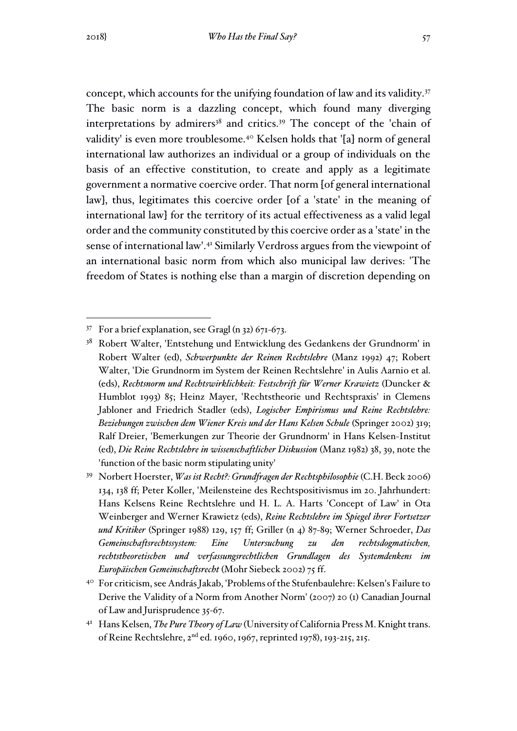$\overline{a}$ 

concept, which accounts for the unifying foundation of law and its validity.<sup>37</sup> The basic norm is a dazzling concept, which found many diverging interpretations by admirers<sup>38</sup> and critics.<sup>39</sup> The concept of the 'chain of validity' is even more troublesome.<sup>40</sup> Kelsen holds that '[a] norm of general international law authorizes an individual or a group of individuals on the basis of an effective constitution, to create and apply as a legitimate government a normative coercive order. That norm [of general international law], thus, legitimates this coercive order [of a 'state' in the meaning of international law] for the territory of its actual effectiveness as a valid legal order and the community constituted by this coercive order as a 'state' in the sense of international law'.<sup>41</sup> Similarly Verdross argues from the viewpoint of an international basic norm from which also municipal law derives: 'The freedom of States is nothing else than a margin of discretion depending on

For a brief explanation, see Gragl (n 32) 671-673.

<sup>&</sup>lt;sup>38</sup> Robert Walter, 'Entstehung und Entwicklung des Gedankens der Grundnorm' in Robert Walter (ed), *Schwerpunkte der Reinen Rechtslehre* (Manz 1992) 47; Robert Walter, 'Die Grundnorm im System der Reinen Rechtslehre' in Aulis Aarnio et al. (eds), *Rechtsnorm und Rechtswirklichkeit: Festschrift für Werner Krawietz* (Duncker & Humblot 1993) 85; Heinz Mayer, 'Rechtstheorie und Rechtspraxis' in Clemens Jabloner and Friedrich Stadler (eds), *Logischer Empirismus und Reine Rechtslehre: Beziehungen zwischen dem Wiener Kreis und der Hans Kelsen Schule* (Springer 2002) 319; Ralf Dreier, 'Bemerkungen zur Theorie der Grundnorm' in Hans Kelsen-Institut (ed), *Die Reine Rechtslehre in wissenschaftlicher Diskussion* (Manz 1982) 38, 39, note the 'function of the basic norm stipulating unity'

<sup>39</sup> Norbert Hoerster, *Was ist Recht?: Grundfragen der Rechtsphilosophie* (C.H. Beck 2006) 134, 138 ff; Peter Koller, 'Meilensteine des Rechtspositivismus im 20. Jahrhundert: Hans Kelsens Reine Rechtslehre und H. L. A. Harts 'Concept of Law' in Ota Weinberger and Werner Krawietz (eds), *Reine Rechtslehre im Spiegel ihrer Fortsetzer und Kritiker* (Springer 1988) 129, 157 ff; Griller (n 4) 87-89; Werner Schroeder, *Das Gemeinschaftsrechtssystem: Eine Untersuchung zu den rechtsdogmatischen, rechtstheoretischen und verfassungsrechtlichen Grundlagen des Systemdenkens im Europäischen Gemeinschaftsrecht* (Mohr Siebeck 2002) 75 ff.

<sup>40</sup> For criticism, see András Jakab, 'Problems of the Stufenbaulehre: Kelsen's Failure to Derive the Validity of a Norm from Another Norm' (2007) 20 (1) Canadian Journal of Law and Jurisprudence 35-67.

<sup>41</sup> Hans Kelsen, *The Pure Theory of Law* (University of California Press M. Knight trans. of Reine Rechtslehre, 2nd ed. 1960, 1967, reprinted 1978), 193-215, 215.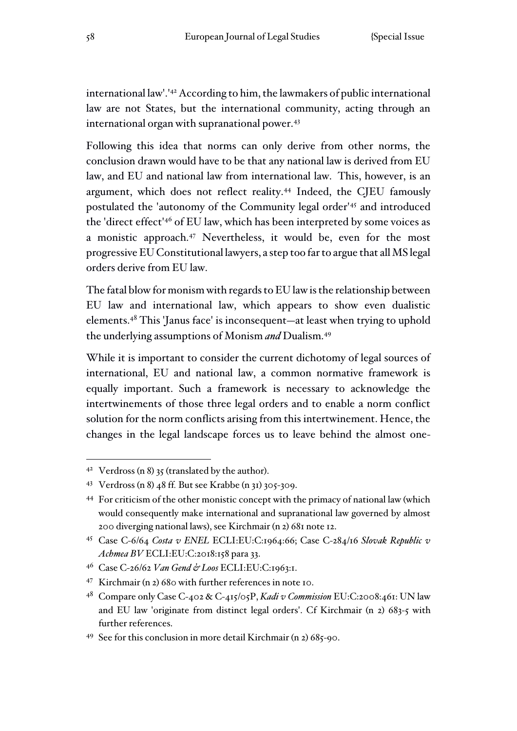international law'.'<sup>42</sup> According to him, the lawmakers of public international law are not States, but the international community, acting through an international organ with supranational power.<sup>43</sup>

Following this idea that norms can only derive from other norms, the conclusion drawn would have to be that any national law is derived from EU law, and EU and national law from international law. This, however, is an argument, which does not reflect reality.<sup>44</sup> Indeed, the CJEU famously postulated the 'autonomy of the Community legal order'<sup>45</sup> and introduced the 'direct effect'<sup>46</sup> of EU law, which has been interpreted by some voices as a monistic approach.<sup>47</sup> Nevertheless, it would be, even for the most progressive EU Constitutional lawyers, a step too far to argue that all MS legal orders derive from EU law.

The fatal blow for monism with regards to EU law is the relationship between EU law and international law, which appears to show even dualistic elements.<sup>48</sup> This 'Janus face' is inconsequent—at least when trying to uphold the underlying assumptions of Monism *and* Dualism.<sup>49</sup>

While it is important to consider the current dichotomy of legal sources of international, EU and national law, a common normative framework is equally important. Such a framework is necessary to acknowledge the intertwinements of those three legal orders and to enable a norm conflict solution for the norm conflicts arising from this intertwinement. Hence, the changes in the legal landscape forces us to leave behind the almost one-

 $42$  Verdross (n 8) 35 (translated by the author).

<sup>43</sup> Verdross (n 8) 48 ff*.* But see Krabbe (n 31) 305-309.

<sup>44</sup> For criticism of the other monistic concept with the primacy of national law (which would consequently make international and supranational law governed by almost 200 diverging national laws), see Kirchmair (n 2) 681 note 12.

<sup>45</sup> Case C-6/64 *Costa v ENEL* ECLI:EU:C:1964:66; Case C-284/16 *Slovak Republic v Achmea BV* ECLI:EU:C:2018:158 para 33.

<sup>46</sup> Case C-26/62 *Van Gend & Loos* ECLI:EU:C:1963:1.

<sup>47</sup> Kirchmair (n 2) 680 with further references in note 10.

<sup>48</sup> Compare only Case C-402 & C-415/05P, *Kadi v Commission* EU:C:2008:461: UN law and EU law 'originate from distinct legal orders'. Cf Kirchmair (n 2) 683-5 with further references.

<sup>49</sup> See for this conclusion in more detail Kirchmair (n 2) 685-90.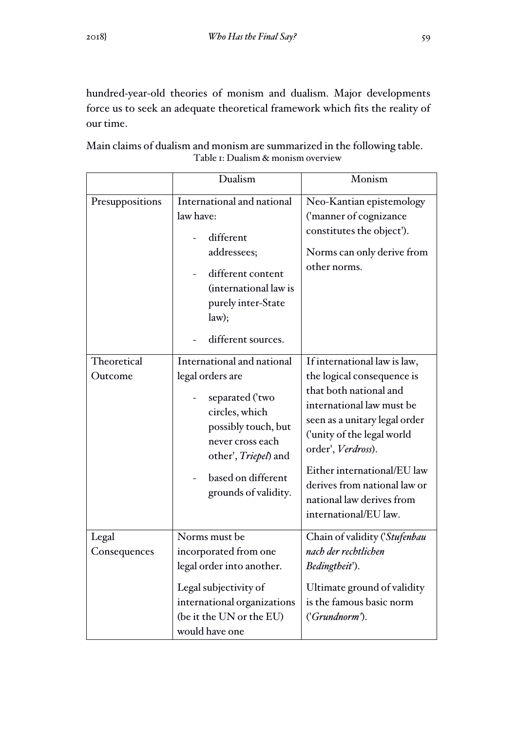hundred-year-old theories of monism and dualism. Major developments force us to seek an adequate theoretical framework which fits the reality of our time.

Main claims of dualism and monism are summarized in the following table. Table 1: Dualism & monism overview

|                        | Dualism                                                                                                                                                                                              | Monism                                                                                                                                                                                                                                                                                                                      |
|------------------------|------------------------------------------------------------------------------------------------------------------------------------------------------------------------------------------------------|-----------------------------------------------------------------------------------------------------------------------------------------------------------------------------------------------------------------------------------------------------------------------------------------------------------------------------|
| Presuppositions        | International and national<br>law have:<br>different<br>addressees;<br>different content<br>(international law is<br>purely inter-State<br>law);<br>different sources.                               | Neo-Kantian epistemology<br>('manner of cognizance<br>constitutes the object').<br>Norms can only derive from<br>other norms.                                                                                                                                                                                               |
| Theoretical<br>Outcome | International and national<br>legal orders are<br>separated ('two<br>circles, which<br>possibly touch, but<br>never cross each<br>other', Triepel) and<br>based on different<br>grounds of validity. | If international law is law,<br>the logical consequence is<br>that both national and<br>international law must be<br>seen as a unitary legal order<br>('unity of the legal world<br>order', Verdross).<br>Either international/EU law<br>derives from national law or<br>national law derives from<br>international/EU law. |
| Legal<br>Consequences  | Norms must be<br>incorporated from one<br>legal order into another.<br>Legal subjectivity of<br>international organizations<br>(be it the UN or the EU)<br>would have one                            | Chain of validity ('Stufenbau<br>nach der rechtlichen<br>Bedingtheit').<br>Ultimate ground of validity<br>is the famous basic norm<br>('Grundnorm').                                                                                                                                                                        |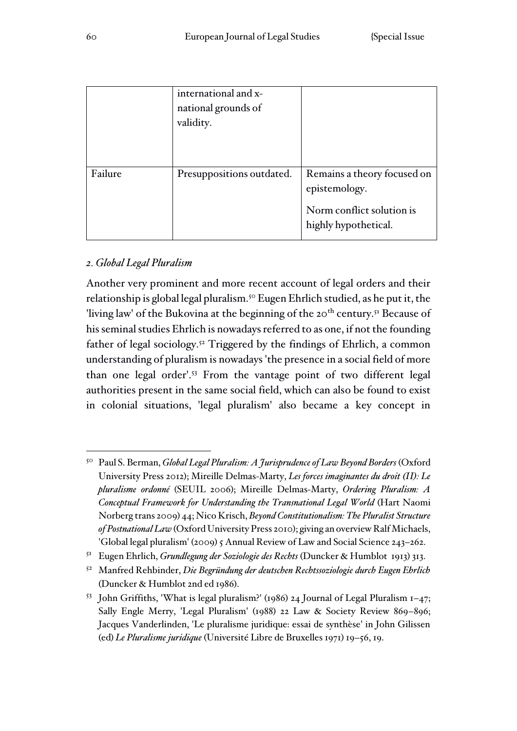|         | international and x-<br>national grounds of<br>validity. |                                                                                                   |
|---------|----------------------------------------------------------|---------------------------------------------------------------------------------------------------|
| Failure | Presuppositions outdated.                                | Remains a theory focused on<br>epistemology.<br>Norm conflict solution is<br>highly hypothetical. |

# *2. Global Legal Pluralism*

Another very prominent and more recent account of legal orders and their relationship is global legal pluralism.<sup>50</sup> Eugen Ehrlich studied, as he put it, the 'living law' of the Bukovina at the beginning of the 20<sup>th</sup> century.<sup>51</sup> Because of his seminal studies Ehrlich is nowadays referred to as one, if not the founding father of legal sociology.<sup>52</sup> Triggered by the findings of Ehrlich, a common understanding of pluralism is nowadays 'the presence in a social field of more than one legal order'.<sup>53</sup> From the vantage point of two different legal authorities present in the same social field, which can also be found to exist in colonial situations, 'legal pluralism' also became a key concept in

<sup>50</sup> Paul S. Berman, *Global Legal Pluralism: A Jurisprudence of Law Beyond Borders* (Oxford University Press 2012); Mireille Delmas-Marty, *Les forces imaginantes du droit (II): Le pluralisme ordonné* (SEUIL 2006); Mireille Delmas-Marty, *Ordering Pluralism: A Conceptual Framework for Understanding the Transnational Legal World* (Hart Naomi Norberg trans 2009) 44; Nico Krisch, *Beyond Constitutionalism: The Pluralist Structure of Postnational Law* (Oxford University Press 2010); giving an overview Ralf Michaels, 'Global legal pluralism' (2009) 5 Annual Review of Law and Social Science 243–262.

<sup>51</sup> Eugen Ehrlich, *Grundlegung der Soziologie des Rechts* (Duncker & Humblot 1913) 313.

<sup>52</sup> Manfred Rehbinder, *Die Begründung der deutschen Rechtssoziologie durch Eugen Ehrlich* (Duncker & Humblot 2nd ed 1986).

<sup>&</sup>lt;sup>53</sup> John Griffiths, 'What is legal pluralism?' (1986) 24 Journal of Legal Pluralism  $I-47$ ; Sally Engle Merry, 'Legal Pluralism' (1988) 22 Law & Society Review 869–896; Jacques Vanderlinden, 'Le pluralisme juridique: essai de synthèse' in John Gilissen (ed) *Le Pluralisme juridique* (Université Libre de Bruxelles 1971) 19–56, 19.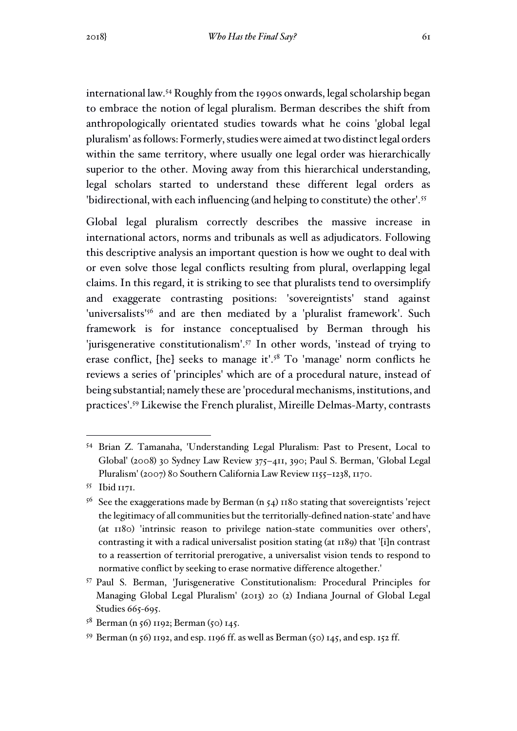international law.<sup>54</sup> Roughly from the 1990s onwards, legal scholarship began to embrace the notion of legal pluralism. Berman describes the shift from anthropologically orientated studies towards what he coins 'global legal pluralism' as follows: Formerly, studies were aimed at two distinct legal orders within the same territory, where usually one legal order was hierarchically superior to the other. Moving away from this hierarchical understanding, legal scholars started to understand these different legal orders as 'bidirectional, with each influencing (and helping to constitute) the other'.<sup>55</sup>

Global legal pluralism correctly describes the massive increase in international actors, norms and tribunals as well as adjudicators. Following this descriptive analysis an important question is how we ought to deal with or even solve those legal conflicts resulting from plural, overlapping legal claims. In this regard, it is striking to see that pluralists tend to oversimplify and exaggerate contrasting positions: 'sovereigntists' stand against 'universalists'<sup>56</sup> and are then mediated by a 'pluralist framework'. Such framework is for instance conceptualised by Berman through his 'jurisgenerative constitutionalism'.<sup>57</sup> In other words, 'instead of trying to erase conflict,  $[he]$  seeks to manage it'.<sup>58</sup> To 'manage' norm conflicts he reviews a series of 'principles' which are of a procedural nature, instead of being substantial; namely these are 'procedural mechanisms, institutions, and practices'.<sup>59</sup> Likewise the French pluralist, Mireille Delmas-Marty, contrasts

<sup>54</sup> Brian Z. Tamanaha, 'Understanding Legal Pluralism: Past to Present, Local to Global' (2008) 30 Sydney Law Review 375–411, 390; Paul S. Berman, 'Global Legal Pluralism' (2007) 80 Southern California Law Review 1155–1238, 1170.

<sup>55</sup> Ibid 1171.

 $56$  See the exaggerations made by Berman (n 54) 1180 stating that sovereigntists 'reject the legitimacy of all communities but the territorially-defined nation-state' and have (at 1180) 'intrinsic reason to privilege nation-state communities over others', contrasting it with a radical universalist position stating (at 1189) that '[i]n contrast to a reassertion of territorial prerogative, a universalist vision tends to respond to normative conflict by seeking to erase normative difference altogether.'

<sup>57</sup> Paul S. Berman, 'Jurisgenerative Constitutionalism: Procedural Principles for Managing Global Legal Pluralism' (2013) 20 (2) Indiana Journal of Global Legal Studies **665-695**.

<sup>58</sup> Berman (n 56) 1192; Berman (50) 145.

<sup>59</sup> Berman (n 56) 1192, and esp. 1196 ff. as well as Berman (50) 145, and esp. 152 ff.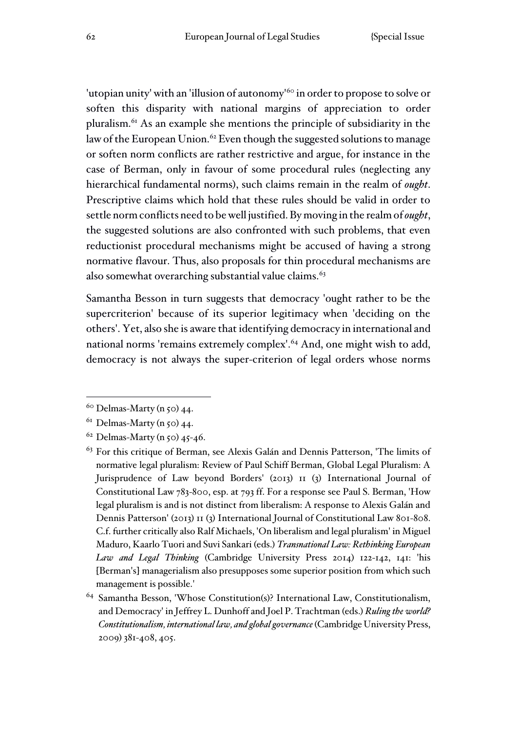'utopian unity' with an 'illusion of autonomy'<sup>60</sup> in order to propose to solve or soften this disparity with national margins of appreciation to order pluralism.<sup>61</sup> As an example she mentions the principle of subsidiarity in the law of the European Union.<sup>62</sup> Even though the suggested solutions to manage or soften norm conflicts are rather restrictive and argue, for instance in the case of Berman, only in favour of some procedural rules (neglecting any hierarchical fundamental norms), such claims remain in the realm of *ought*. Prescriptive claims which hold that these rules should be valid in order to settle norm conflicts need to be well justified. By moving in the realm of *ought*, the suggested solutions are also confronted with such problems, that even reductionist procedural mechanisms might be accused of having a strong normative flavour. Thus, also proposals for thin procedural mechanisms are also somewhat overarching substantial value claims.<sup>63</sup>

Samantha Besson in turn suggests that democracy 'ought rather to be the supercriterion' because of its superior legitimacy when 'deciding on the others'. Yet, also she is aware that identifying democracy in international and national norms 'remains extremely complex'.<sup>64</sup> And, one might wish to add, democracy is not always the super-criterion of legal orders whose norms

 $60$  Delmas-Marty (n 50) 44.

 $61$  Delmas-Marty (n 50) 44.

 $62$  Delmas-Marty (n 50) 45-46.

<sup>&</sup>lt;sup>63</sup> For this critique of Berman, see Alexis Galán and Dennis Patterson, 'The limits of normative legal pluralism: Review of Paul Schiff Berman, Global Legal Pluralism: A Jurisprudence of Law beyond Borders' (2013) 11 (3) International Journal of Constitutional Law 783-800, esp. at 793 ff. For a response see Paul S. Berman, 'How legal pluralism is and is not distinct from liberalism: A response to Alexis Galán and Dennis Patterson' (2013) 11 (3) International Journal of Constitutional Law 801-808. C.f. further critically also Ralf Michaels, 'On liberalism and legal pluralism' in Miguel Maduro, Kaarlo Tuori and Suvi Sankari (eds.) *Transnational Law: Rethinking European Law and Legal Thinking* (Cambridge University Press 2014) 122-142, 141: 'his [Berman's] managerialism also presupposes some superior position from which such management is possible.'

<sup>64</sup> Samantha Besson, 'Whose Constitution(s)? International Law, Constitutionalism, and Democracy' in Jeffrey L. Dunhoff and Joel P. Trachtman (eds.) *Ruling the world? Constitutionalism, international law, and global governance*(Cambridge University Press, 2009) 381-408, 405.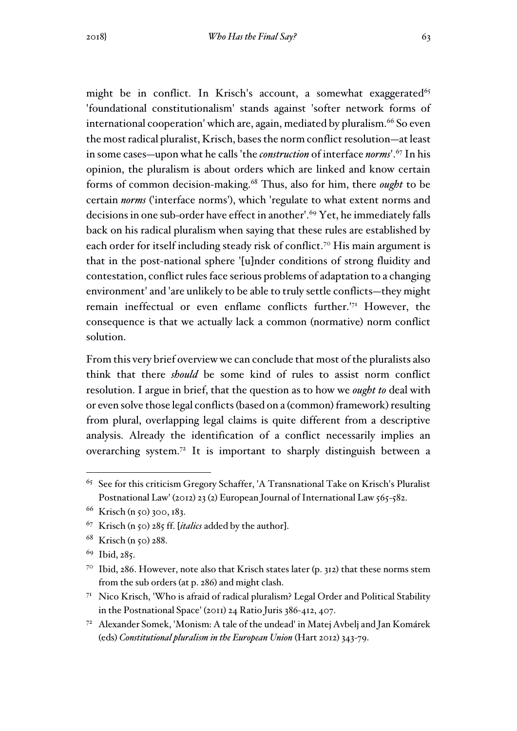might be in conflict. In Krisch's account, a somewhat exaggerated<sup>65</sup> 'foundational constitutionalism' stands against 'softer network forms of international cooperation' which are, again, mediated by pluralism.<sup>66</sup> So even the most radical pluralist, Krisch, bases the norm conflict resolution—at least in some cases—upon what he calls 'the *construction* of interface *norms*'.<sup>67</sup> In his opinion, the pluralism is about orders which are linked and know certain forms of common decision-making.<sup>68</sup> Thus, also for him, there *ought* to be certain *norms* ('interface norms'), which 'regulate to what extent norms and decisions in one sub-order have effect in another'.<sup>69</sup> Yet, he immediately falls back on his radical pluralism when saying that these rules are established by each order for itself including steady risk of conflict.<sup>70</sup> His main argument is that in the post-national sphere '[u]nder conditions of strong fluidity and contestation, conflict rules face serious problems of adaptation to a changing environment' and 'are unlikely to be able to truly settle conflicts—they might remain ineffectual or even enflame conflicts further.'<sup>71</sup> However, the consequence is that we actually lack a common (normative) norm conflict solution.

From this very brief overview we can conclude that most of the pluralists also think that there *should* be some kind of rules to assist norm conflict resolution. I argue in brief, that the question as to how we *ought to* deal with or even solve those legal conflicts (based on a (common) framework) resulting from plural, overlapping legal claims is quite different from a descriptive analysis. Already the identification of a conflict necessarily implies an overarching system.<sup>72</sup> It is important to sharply distinguish between a

<sup>&</sup>lt;sup>65</sup> See for this criticism Gregory Schaffer, 'A Transnational Take on Krisch's Pluralist Postnational Law' (2012) 23 (2) European Journal of International Law 565-582.

<sup>66</sup> Krisch (n 50) 300, 183.

<sup>67</sup> Krisch (n 50) 285 ff. [*italics* added by the author].

<sup>68</sup> Krisch (n 50) 288.

<sup>69</sup> Ibid, 285.

<sup>&</sup>lt;sup>70</sup> Ibid, 286. However, note also that Krisch states later (p. 312) that these norms stem from the sub orders (at p. 286) and might clash.

 $7<sup>1</sup>$  Nico Krisch, 'Who is afraid of radical pluralism? Legal Order and Political Stability in the Postnational Space' (2011) 24 Ratio Juris 386-412, 407.

<sup>72</sup> Alexander Somek, 'Monism: A tale of the undead' in Matej Avbelj and Jan Komárek (eds) *Constitutional pluralism in the European Union* (Hart 2012) 343-79.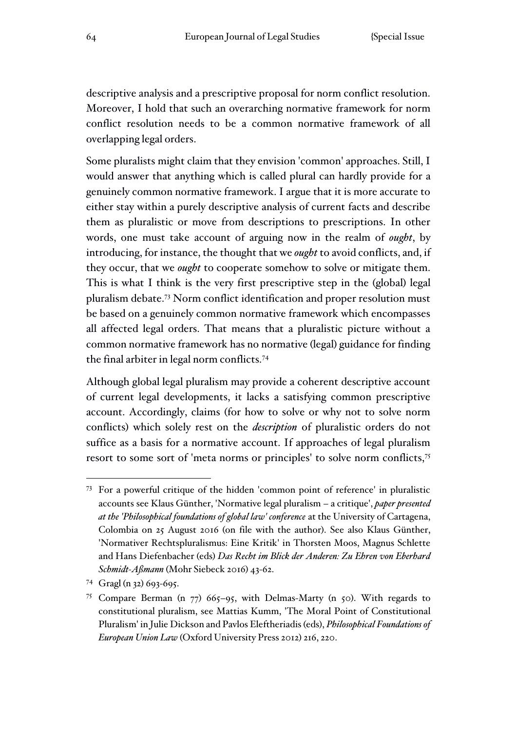descriptive analysis and a prescriptive proposal for norm conflict resolution. Moreover, I hold that such an overarching normative framework for norm conflict resolution needs to be a common normative framework of all overlapping legal orders.

Some pluralists might claim that they envision 'common' approaches. Still, I would answer that anything which is called plural can hardly provide for a genuinely common normative framework. I argue that it is more accurate to either stay within a purely descriptive analysis of current facts and describe them as pluralistic or move from descriptions to prescriptions. In other words, one must take account of arguing now in the realm of *ought*, by introducing, for instance, the thought that we *ought* to avoid conflicts, and, if they occur, that we *ought* to cooperate somehow to solve or mitigate them. This is what I think is the very first prescriptive step in the (global) legal pluralism debate.<sup>73</sup> Norm conflict identification and proper resolution must be based on a genuinely common normative framework which encompasses all affected legal orders. That means that a pluralistic picture without a common normative framework has no normative (legal) guidance for finding the final arbiter in legal norm conflicts.<sup>74</sup>

Although global legal pluralism may provide a coherent descriptive account of current legal developments, it lacks a satisfying common prescriptive account. Accordingly, claims (for how to solve or why not to solve norm conflicts) which solely rest on the *description* of pluralistic orders do not suffice as a basis for a normative account. If approaches of legal pluralism resort to some sort of 'meta norms or principles' to solve norm conflicts,<sup>75</sup>

<sup>73</sup> For a powerful critique of the hidden 'common point of reference' in pluralistic accounts see Klaus Günther, 'Normative legal pluralism – a critique', *paper presented at the 'Philosophical foundations of global law' conference* at the University of Cartagena, Colombia on 25 August 2016 (on file with the author). See also Klaus Günther, 'Normativer Rechtspluralismus: Eine Kritik' in Thorsten Moos, Magnus Schlette and Hans Diefenbacher (eds) *Das Recht im Blick der Anderen: Zu Ehren von Eberhard Schmidt-Aßmann* (Mohr Siebeck 2016) 43-62.

<sup>74</sup> Gragl (n 32) 693-695.

<sup>75</sup> Compare Berman (n 77) 665–95, with Delmas-Marty (n 50). With regards to constitutional pluralism, see Mattias Kumm, 'The Moral Point of Constitutional Pluralism' in Julie Dickson and Pavlos Eleftheriadis (eds), *Philosophical Foundations of European Union Law* (Oxford University Press 2012) 216, 220.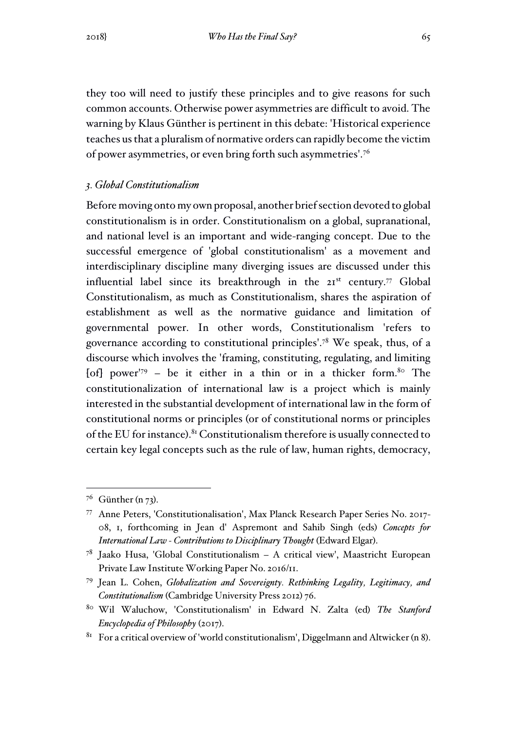they too will need to justify these principles and to give reasons for such common accounts. Otherwise power asymmetries are difficult to avoid. The warning by Klaus Günther is pertinent in this debate: 'Historical experience teaches us that a pluralism of normative orders can rapidly become the victim of power asymmetries, or even bring forth such asymmetries'.<sup>76</sup>

*3. Global Constitutionalism*

Before moving onto my own proposal, another brief section devoted to global constitutionalism is in order. Constitutionalism on a global, supranational, and national level is an important and wide-ranging concept. Due to the successful emergence of 'global constitutionalism' as a movement and interdisciplinary discipline many diverging issues are discussed under this influential label since its breakthrough in the 21<sup>st</sup> century.<sup>77</sup> Global Constitutionalism, as much as Constitutionalism, shares the aspiration of establishment as well as the normative guidance and limitation of governmental power. In other words, Constitutionalism 'refers to governance according to constitutional principles'.<sup>78</sup> We speak, thus, of a discourse which involves the 'framing, constituting, regulating, and limiting [of] power'79 – be it either in a thin or in a thicker form.<sup>80</sup> The constitutionalization of international law is a project which is mainly interested in the substantial development of international law in the form of constitutional norms or principles (or of constitutional norms or principles of the EU for instance).<sup>81</sup> Constitutionalism therefore is usually connected to certain key legal concepts such as the rule of law, human rights, democracy,

 $7<sup>6</sup>$  Günther (n 73).

<sup>77</sup> Anne Peters, 'Constitutionalisation', Max Planck Research Paper Series No. 2017- 08, 1, forthcoming in Jean d' Aspremont and Sahib Singh (eds) *Concepts for International Law - Contributions to Disciplinary Thought* (Edward Elgar).

 $78$  Jaako Husa, 'Global Constitutionalism – A critical view', Maastricht European Private Law Institute Working Paper No. 2016/11.

<sup>79</sup> Jean L. Cohen, *Globalization and Sovereignty. Rethinking Legality, Legitimacy, and Constitutionalism* (Cambridge University Press 2012) 76.

<sup>80</sup> Wil Waluchow, 'Constitutionalism' in Edward N. Zalta (ed) *The Stanford Encyclopedia of Philosophy* (2017).

<sup>&</sup>lt;sup>81</sup> For a critical overview of 'world constitutionalism', Diggelmann and Altwicker (n 8).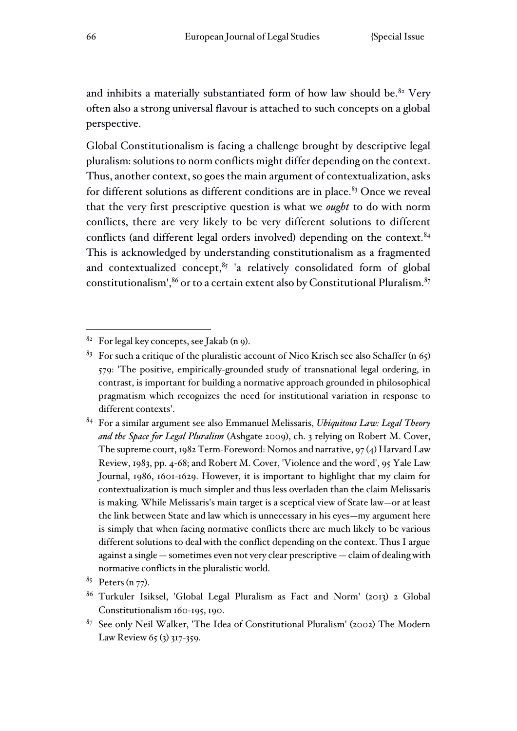and inhibits a materially substantiated form of how law should be.<sup>82</sup> Very often also a strong universal flavour is attached to such concepts on a global perspective.

Global Constitutionalism is facing a challenge brought by descriptive legal pluralism: solutions to norm conflicts might differ depending on the context. Thus, another context, so goes the main argument of contextualization, asks for different solutions as different conditions are in place. $83$  Once we reveal that the very first prescriptive question is what we *ought* to do with norm conflicts, there are very likely to be very different solutions to different conflicts (and different legal orders involved) depending on the context. $84$ This is acknowledged by understanding constitutionalism as a fragmented and contextualized concept, $85$  'a relatively consolidated form of global constitutionalism', $86$  or to a certain extent also by Constitutional Pluralism. $87$ 

 $82$  For legal key concepts, see Jakab (n 9).

<sup>&</sup>lt;sup>83</sup> For such a critique of the pluralistic account of Nico Krisch see also Schaffer (n 65) 579: 'The positive, empirically-grounded study of transnational legal ordering, in contrast, is important for building a normative approach grounded in philosophical pragmatism which recognizes the need for institutional variation in response to different contexts'.

<sup>84</sup> For a similar argument see also Emmanuel Melissaris, *Ubiquitous Law: Legal Theory and the Space for Legal Pluralism* (Ashgate 2009), ch. 3 relying on Robert M. Cover, The supreme court, 1982 Term-Foreword: Nomos and narrative, 97 (4) Harvard Law Review, 1983, pp. 4-68; and Robert M. Cover, 'Violence and the word', 95 Yale Law Journal, 1986, 1601-1629. However, it is important to highlight that my claim for contextualization is much simpler and thus less overladen than the claim Melissaris is making. While Melissaris's main target is a sceptical view of State law—or at least the link between State and law which is unnecessary in his eyes—my argument here is simply that when facing normative conflicts there are much likely to be various different solutions to deal with the conflict depending on the context. Thus I argue against a single — sometimes even not very clear prescriptive — claim of dealing with normative conflicts in the pluralistic world.

 $85$  Peters (n 77).

<sup>86</sup> Turkuler Isiksel, 'Global Legal Pluralism as Fact and Norm' (2013) 2 Global Constitutionalism 160-195, 190.

 $87$  See only Neil Walker, 'The Idea of Constitutional Pluralism' (2002) The Modern Law Review 65 (3)  $317-359$ .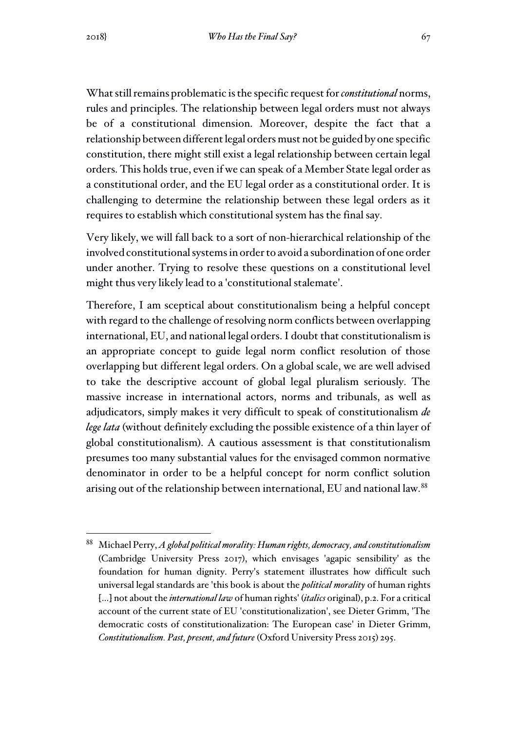$\overline{a}$ 

What still remains problematic is the specific request for *constitutional* norms, rules and principles. The relationship between legal orders must not always be of a constitutional dimension. Moreover, despite the fact that a relationship between different legal orders must not be guided by one specific constitution, there might still exist a legal relationship between certain legal orders. This holds true, even if we can speak of a Member State legal order as a constitutional order, and the EU legal order as a constitutional order. It is challenging to determine the relationship between these legal orders as it requires to establish which constitutional system has the final say.

Very likely, we will fall back to a sort of non-hierarchical relationship of the involved constitutional systems in order to avoid a subordination of one order under another. Trying to resolve these questions on a constitutional level might thus very likely lead to a 'constitutional stalemate'.

Therefore, I am sceptical about constitutionalism being a helpful concept with regard to the challenge of resolving norm conflicts between overlapping international, EU, and national legal orders. I doubt that constitutionalism is an appropriate concept to guide legal norm conflict resolution of those overlapping but different legal orders. On a global scale, we are well advised to take the descriptive account of global legal pluralism seriously. The massive increase in international actors, norms and tribunals, as well as adjudicators, simply makes it very difficult to speak of constitutionalism *de lege lata* (without definitely excluding the possible existence of a thin layer of global constitutionalism). A cautious assessment is that constitutionalism presumes too many substantial values for the envisaged common normative denominator in order to be a helpful concept for norm conflict solution arising out of the relationship between international, EU and national law.<sup>88</sup>

<sup>88</sup> Michael Perry, *A global political morality: Human rights, democracy, and constitutionalism* (Cambridge University Press 2017), which envisages 'agapic sensibility' as the foundation for human dignity. Perry's statement illustrates how difficult such universal legal standards are 'this book is about the *political morality* of human rights […] not about the *international law* of human rights' (*italics* original), p.2. For a critical account of the current state of EU 'constitutionalization', see Dieter Grimm, 'The democratic costs of constitutionalization: The European case' in Dieter Grimm, *Constitutionalism. Past, present, and future* (Oxford University Press 2015) 295.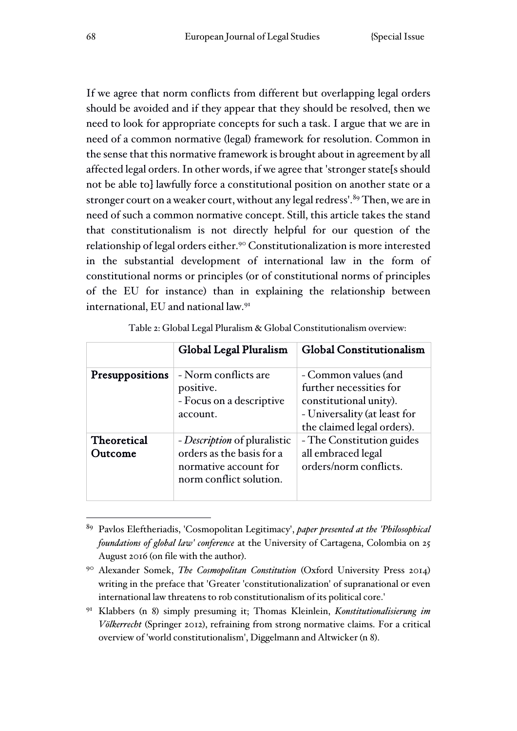If we agree that norm conflicts from different but overlapping legal orders should be avoided and if they appear that they should be resolved, then we need to look for appropriate concepts for such a task. I argue that we are in need of a common normative (legal) framework for resolution. Common in the sense that this normative framework is brought about in agreement by all affected legal orders. In other words, if we agree that 'stronger state[s should not be able to] lawfully force a constitutional position on another state or a stronger court on a weaker court, without any legal redress'.<sup>89</sup> Then, we are in need of such a common normative concept. Still, this article takes the stand that constitutionalism is not directly helpful for our question of the relationship of legal orders either.<sup>90</sup> Constitutionalization is more interested in the substantial development of international law in the form of constitutional norms or principles (or of constitutional norms of principles of the EU for instance) than in explaining the relationship between international, EU and national law.<sup>91</sup>

|                        | Global Legal Pluralism                                                                                               | <b>Global Constitutionalism</b>                                                                                                         |
|------------------------|----------------------------------------------------------------------------------------------------------------------|-----------------------------------------------------------------------------------------------------------------------------------------|
| Presuppositions        | - Norm conflicts are<br>positive.<br>- Focus on a descriptive<br>account.                                            | - Common values (and<br>further necessities for<br>constitutional unity).<br>- Universality (at least for<br>the claimed legal orders). |
| Theoretical<br>Outcome | - <i>Description</i> of pluralistic<br>orders as the basis for a<br>normative account for<br>norm conflict solution. | - The Constitution guides<br>all embraced legal<br>orders/norm conflicts.                                                               |

Table 2: Global Legal Pluralism & Global Constitutionalism overview:

<sup>89</sup> Pavlos Eleftheriadis, 'Cosmopolitan Legitimacy', *paper presented at the 'Philosophical foundations of global law' conference* at the University of Cartagena, Colombia on 25 August 2016 (on file with the author).

<sup>90</sup> Alexander Somek, *The Cosmopolitan Constitution* (Oxford University Press 2014) writing in the preface that 'Greater 'constitutionalization' of supranational or even international law threatens to rob constitutionalism of its political core.'

<sup>91</sup> Klabbers (n 8) simply presuming it; Thomas Kleinlein, *Konstitutionalisierung im Völkerrecht* (Springer 2012), refraining from strong normative claims. For a critical overview of 'world constitutionalism', Diggelmann and Altwicker (n 8).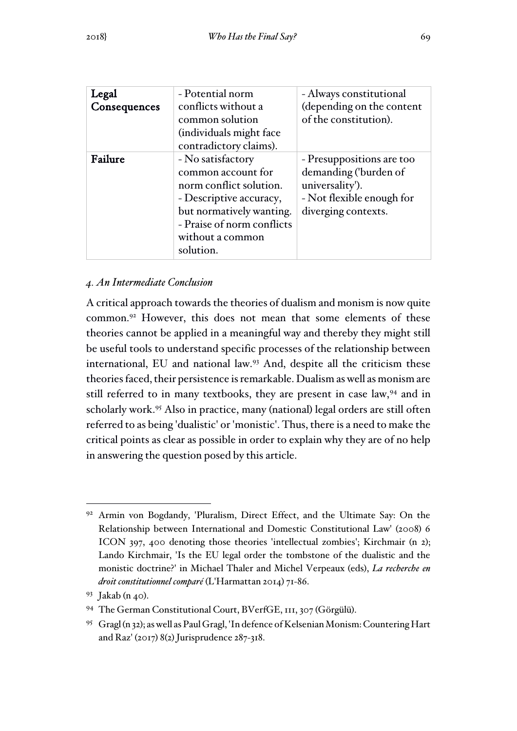| Legal        | - Potential norm           | - Always constitutional   |
|--------------|----------------------------|---------------------------|
| Consequences | conflicts without a        | (depending on the content |
|              | common solution            | of the constitution).     |
|              | (individuals might face)   |                           |
|              | contradictory claims).     |                           |
| Failure      | - No satisfactory          | - Presuppositions are too |
|              | common account for         | demanding ('burden of     |
|              | norm conflict solution.    | universality').           |
|              | - Descriptive accuracy,    | - Not flexible enough for |
|              | but normatively wanting.   | diverging contexts.       |
|              | - Praise of norm conflicts |                           |
|              | without a common           |                           |
|              | solution.                  |                           |

## *4. An Intermediate Conclusion*

A critical approach towards the theories of dualism and monism is now quite common.<sup>92</sup> However, this does not mean that some elements of these theories cannot be applied in a meaningful way and thereby they might still be useful tools to understand specific processes of the relationship between international, EU and national law.<sup>93</sup> And, despite all the criticism these theories faced, their persistence is remarkable. Dualism as well as monism are still referred to in many textbooks, they are present in case law,<sup>94</sup> and in scholarly work.<sup>95</sup> Also in practice, many (national) legal orders are still often referred to as being 'dualistic' or 'monistic'. Thus, there is a need to make the critical points as clear as possible in order to explain why they are of no help in answering the question posed by this article.

<sup>92</sup> Armin von Bogdandy, 'Pluralism, Direct Effect, and the Ultimate Say: On the Relationship between International and Domestic Constitutional Law' (2008) 6 ICON 397, 400 denoting those theories 'intellectual zombies'; Kirchmair (n 2); Lando Kirchmair, 'Is the EU legal order the tombstone of the dualistic and the monistic doctrine?' in Michael Thaler and Michel Verpeaux (eds), *La recherche en droit constitutionnel comparé* (L'Harmattan 2014) 71-86.

<sup>93</sup> Jakab (n 40).

<sup>94</sup> The German Constitutional Court, BVerfGE, 111, 307 (Görgülü).

<sup>95</sup> Gragl (n 32); as well as Paul Gragl, 'In defence of Kelsenian Monism: Countering Hart and Raz' (2017) 8(2) Jurisprudence 287-318.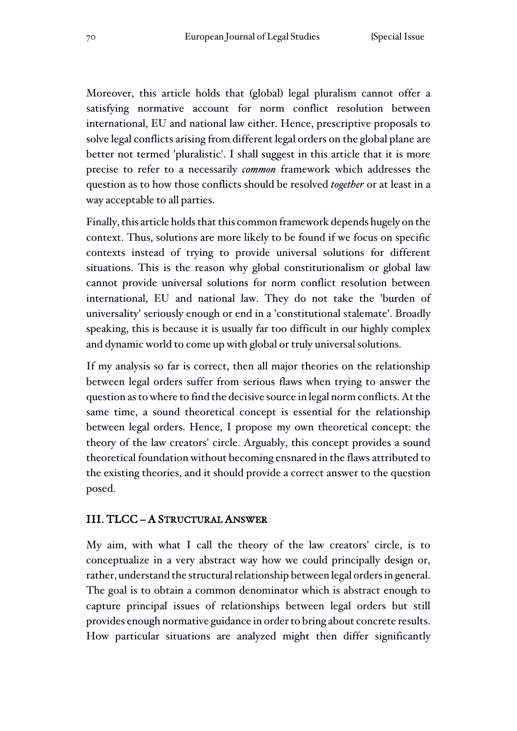Moreover, this article holds that (global) legal pluralism cannot offer a satisfying normative account for norm conflict resolution between international, EU and national law either. Hence, prescriptive proposals to solve legal conflicts arising from different legal orders on the global plane are better not termed 'pluralistic'. I shall suggest in this article that it is more precise to refer to a necessarily *common* framework which addresses the question as to how those conflicts should be resolved *together* or at least in a way acceptable to all parties.

Finally, this article holds that this common framework depends hugely on the context. Thus, solutions are more likely to be found if we focus on specific contexts instead of trying to provide universal solutions for different situations. This is the reason why global constitutionalism or global law cannot provide universal solutions for norm conflict resolution between international, EU and national law. They do not take the 'burden of universality' seriously enough or end in a 'constitutional stalemate'. Broadly speaking, this is because it is usually far too difficult in our highly complex and dynamic world to come up with global or truly universal solutions.

If my analysis so far is correct, then all major theories on the relationship between legal orders suffer from serious flaws when trying to answer the question as to where to find the decisive source in legal norm conflicts. At the same time, a sound theoretical concept is essential for the relationship between legal orders. Hence, I propose my own theoretical concept: the theory of the law creators' circle. Arguably, this concept provides a sound theoretical foundation without becoming ensnared in the flaws attributed to the existing theories, and it should provide a correct answer to the question posed.

## III. TLCC – A STRUCTURAL ANSWER

My aim, with what I call the theory of the law creators' circle, is to conceptualize in a very abstract way how we could principally design or, rather, understand the structural relationship between legal orders in general. The goal is to obtain a common denominator which is abstract enough to capture principal issues of relationships between legal orders but still provides enough normative guidance in order to bring about concrete results. How particular situations are analyzed might then differ significantly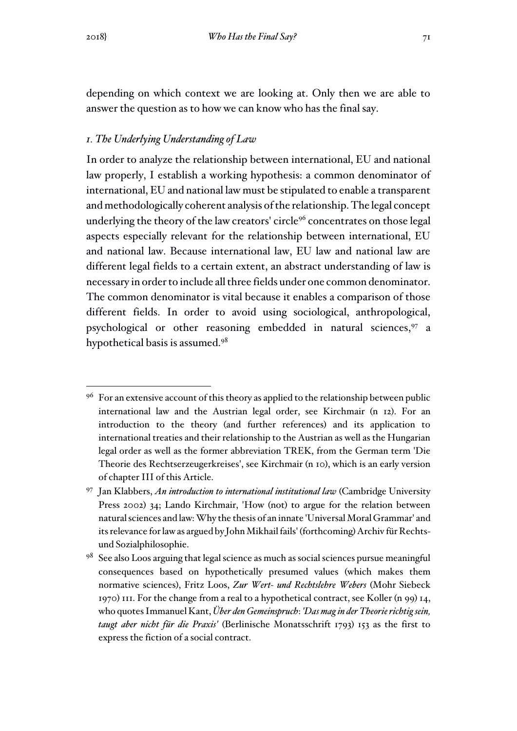$\overline{a}$ 

depending on which context we are looking at. Only then we are able to answer the question as to how we can know who has the final say.

## *1. The Underlying Understanding of Law*

In order to analyze the relationship between international, EU and national law properly, I establish a working hypothesis: a common denominator of international, EU and national law must be stipulated to enable a transparent and methodologically coherent analysis of the relationship. The legal concept underlying the theory of the law creators' circle<sup>96</sup> concentrates on those legal aspects especially relevant for the relationship between international, EU and national law. Because international law, EU law and national law are different legal fields to a certain extent, an abstract understanding of law is necessary in order to include all three fields under one common denominator. The common denominator is vital because it enables a comparison of those different fields. In order to avoid using sociological, anthropological, psychological or other reasoning embedded in natural sciences,<sup>97</sup> a hypothetical basis is assumed.<sup>98</sup>

For an extensive account of this theory as applied to the relationship between public international law and the Austrian legal order, see Kirchmair (n 12). For an introduction to the theory (and further references) and its application to international treaties and their relationship to the Austrian as well as the Hungarian legal order as well as the former abbreviation TREK, from the German term 'Die Theorie des Rechtserzeugerkreises', see Kirchmair (n 10), which is an early version of chapter III of this Article.

<sup>97</sup> Jan Klabbers, *An introduction to international institutional law* (Cambridge University Press 2002) 34; Lando Kirchmair, 'How (not) to argue for the relation between natural sciences and law: Why the thesis of an innate 'Universal Moral Grammar' and its relevance for law as argued by John Mikhail fails' (forthcoming) Archiv für Rechtsund Sozialphilosophie.

 $98$  See also Loos arguing that legal science as much as social sciences pursue meaningful consequences based on hypothetically presumed values (which makes them normative sciences), Fritz Loos, *Zur Wert- und Rechtslehre Webers* (Mohr Siebeck 1970) 111. For the change from a real to a hypothetical contract, see Koller (n 99) 14, who quotes Immanuel Kant, *Über den Gemeinspruch*: *'Das mag in der Theorie richtig sein, taugt aber nicht für die Praxis'* (Berlinische Monatsschrift 1793) 153 as the first to express the fiction of a social contract.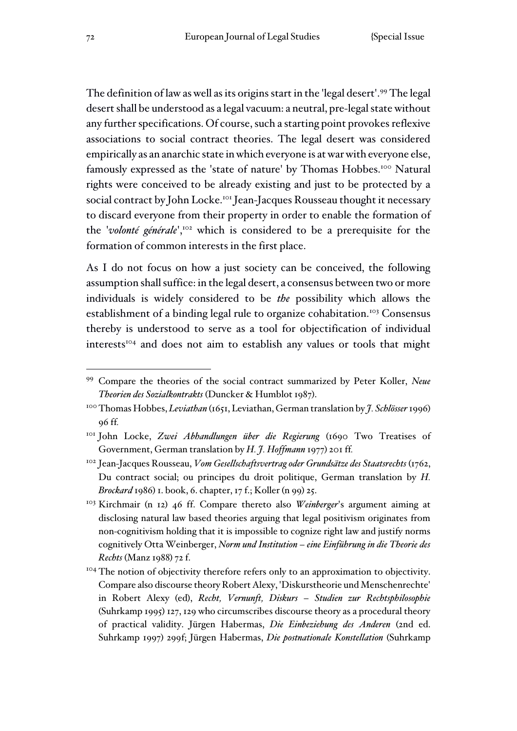The definition of law as well as its origins start in the 'legal desert'.<sup>99</sup> The legal desert shall be understood as a legal vacuum: a neutral, pre-legal state without any further specifications. Of course, such a starting point provokes reflexive associations to social contract theories. The legal desert was considered empirically as an anarchic state in which everyone is at war with everyone else, famously expressed as the 'state of nature' by Thomas Hobbes.<sup>100</sup> Natural rights were conceived to be already existing and just to be protected by a social contract by John Locke.<sup>101</sup> Jean-Jacques Rousseau thought it necessary to discard everyone from their property in order to enable the formation of the '*volonté générale*',<sup>102</sup> which is considered to be a prerequisite for the formation of common interests in the first place.

As I do not focus on how a just society can be conceived, the following assumption shall suffice: in the legal desert, a consensus between two or more individuals is widely considered to be *the* possibility which allows the establishment of a binding legal rule to organize cohabitation.<sup>103</sup> Consensus thereby is understood to serve as a tool for objectification of individual interests<sup>104</sup> and does not aim to establish any values or tools that might

<sup>99</sup> Compare the theories of the social contract summarized by Peter Koller, *Neue Theorien des Sozialkontrakts* (Duncker & Humblot 1987).

<sup>100</sup> Thomas Hobbes, *Leviathan* (1651, Leviathan, German translation by *J. Schlösser*1996) 96 ff*.*

<sup>101</sup> John Locke, *Zwei Abhandlungen über die Regierung* (1690 Two Treatises of Government, German translation by *H. J. Hoffmann* 1977) 201 ff*.*

<sup>102</sup> Jean-Jacques Rousseau, *Vom Gesellschaftsvertrag oder Grundsätze des Staatsrechts* (1762, Du contract social; ou principes du droit politique, German translation by *H. Brockard* 1986) 1. book, 6. chapter, 17 f.; Koller (n 99) 25.

<sup>103</sup> Kirchmair (n 12) 46 ff. Compare thereto also *Weinberger*'s argument aiming at disclosing natural law based theories arguing that legal positivism originates from non-cognitivism holding that it is impossible to cognize right law and justify norms cognitively Otta Weinberger, *Norm und Institution – eine Einführung in die Theorie des Rechts* (Manz 1988) 72 f.

<sup>&</sup>lt;sup>104</sup> The notion of objectivity therefore refers only to an approximation to objectivity. Compare also discourse theory Robert Alexy, 'Diskurstheorie und Menschenrechte' in Robert Alexy (ed), *Recht, Vernunft, Diskurs – Studien zur Rechtsphilosophie* (Suhrkamp 1995) 127, 129 who circumscribes discourse theory as a procedural theory of practical validity. Jürgen Habermas, *Die Einbeziehung des Anderen* (2nd ed. Suhrkamp 1997) 299f; Jürgen Habermas, *Die postnationale Konstellation* (Suhrkamp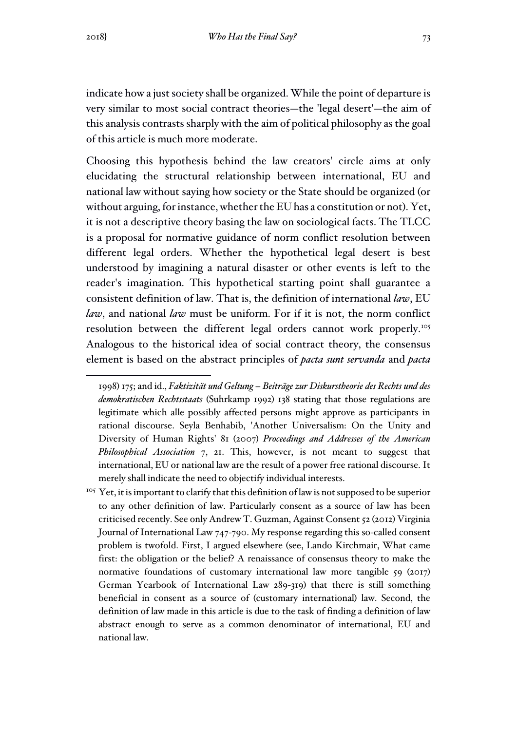$\overline{a}$ 

indicate how a just society shall be organized. While the point of departure is very similar to most social contract theories—the 'legal desert'—the aim of this analysis contrasts sharply with the aim of political philosophy as the goal of this article is much more moderate.

Choosing this hypothesis behind the law creators' circle aims at only elucidating the structural relationship between international, EU and national law without saying how society or the State should be organized (or without arguing, for instance, whether the EU has a constitution or not). Yet, it is not a descriptive theory basing the law on sociological facts. The TLCC is a proposal for normative guidance of norm conflict resolution between different legal orders. Whether the hypothetical legal desert is best understood by imagining a natural disaster or other events is left to the reader's imagination. This hypothetical starting point shall guarantee a consistent definition of law. That is, the definition of international *law*, EU *law*, and national *law* must be uniform. For if it is not, the norm conflict resolution between the different legal orders cannot work properly.<sup>105</sup> Analogous to the historical idea of social contract theory, the consensus element is based on the abstract principles of *pacta sunt servanda* and *pacta* 

<sup>105</sup> Yet, it is important to clarify that this definition of law is not supposed to be superior to any other definition of law. Particularly consent as a source of law has been criticised recently. See only Andrew T. Guzman, Against Consent 52 (2012) Virginia Journal of International Law 747-790. My response regarding this so-called consent problem is twofold. First, I argued elsewhere (see, Lando Kirchmair, What came first: the obligation or the belief? A renaissance of consensus theory to make the normative foundations of customary international law more tangible 59 (2017) German Yearbook of International Law 289-319) that there is still something beneficial in consent as a source of (customary international) law. Second, the definition of law made in this article is due to the task of finding a definition of law abstract enough to serve as a common denominator of international, EU and national law.

<sup>1998) 175;</sup> and id., *Faktizität und Geltung – Beiträge zur Diskurstheorie des Rechts und des demokratischen Rechtsstaats* (Suhrkamp 1992) 138 stating that those regulations are legitimate which alle possibly affected persons might approve as participants in rational discourse. Seyla Benhabib, 'Another Universalism: On the Unity and Diversity of Human Rights' 81 (2007) *Proceedings and Addresses of the American Philosophical Association* 7, 21. This, however, is not meant to suggest that international, EU or national law are the result of a power free rational discourse. It merely shall indicate the need to objectify individual interests.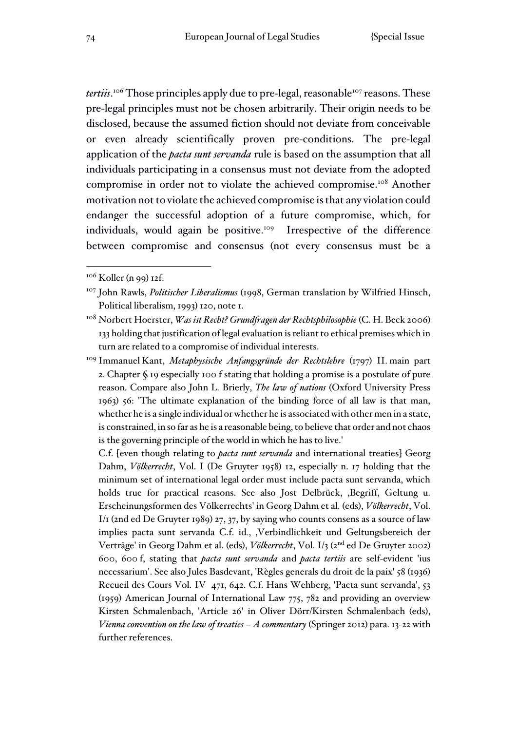tertiis.<sup>106</sup> Those principles apply due to pre-legal, reasonable<sup>107</sup> reasons. These pre-legal principles must not be chosen arbitrarily. Their origin needs to be disclosed, because the assumed fiction should not deviate from conceivable or even already scientifically proven pre-conditions. The pre-legal application of the *pacta sunt servanda* rule is based on the assumption that all individuals participating in a consensus must not deviate from the adopted compromise in order not to violate the achieved compromise.<sup>108</sup> Another motivation not to violate the achieved compromise is that any violation could endanger the successful adoption of a future compromise, which, for individuals, would again be positive.<sup>109</sup> Irrespective of the difference between compromise and consensus (not every consensus must be a

<sup>106</sup> Koller (n 99) 12f.

<sup>107</sup> John Rawls, *Politischer Liberalismus* (1998, German translation by Wilfried Hinsch, Political liberalism, 1993) 120, note 1.

<sup>108</sup> Norbert Hoerster, *Was ist Recht? Grundfragen der Rechtsphilosophie* (C. H. Beck 2006) 133 holding that justification of legal evaluation is reliant to ethical premises which in turn are related to a compromise of individual interests.

<sup>109</sup> Immanuel Kant, *Metaphysische Anfangsgründe der Rechtslehre* (1797) II. main part 2. Chapter § 19 especially 100 f stating that holding a promise is a postulate of pure reason. Compare also John L. Brierly, *The law of nations* (Oxford University Press 1963) 56: 'The ultimate explanation of the binding force of all law is that man, whether he is a single individual or whether he is associated with other men in a state, is constrained, in so far as he is a reasonable being, to believe that order and not chaos is the governing principle of the world in which he has to live.'

C.f. [even though relating to *pacta sunt servanda* and international treaties] Georg Dahm, *Völkerrecht*, Vol. I (De Gruyter 1958) 12, especially n. 17 holding that the minimum set of international legal order must include pacta sunt servanda, which holds true for practical reasons. See also Jost Delbrück, 'Begriff, Geltung u. Erscheinungsformen des Völkerrechts' in Georg Dahm et al. (eds), *Völkerrecht*, Vol. I/1 (2nd ed De Gruyter 1989) 27, 37, by saying who counts consens as a source of law implies pacta sunt servanda C.f. id*.*, 'Verbindlichkeit und Geltungsbereich der Verträge' in Georg Dahm et al. (eds), *Völkerrecht*, Vol. I/3 (2nd ed De Gruyter 2002) 600, 600 f, stating that *pacta sunt servanda* and *pacta tertiis* are self-evident 'ius necessarium'. See also Jules Basdevant, 'Règles generals du droit de la paix' 58 (1936) Recueil des Cours Vol. IV 471, 642. C.f. Hans Wehberg, 'Pacta sunt servanda', 53 (1959) American Journal of International Law 775, 782 and providing an overview Kirsten Schmalenbach, 'Article 26' in Oliver Dörr/Kirsten Schmalenbach (eds), *Vienna convention on the law of treaties – A commentary* (Springer 2012) para. 13-22 with further references.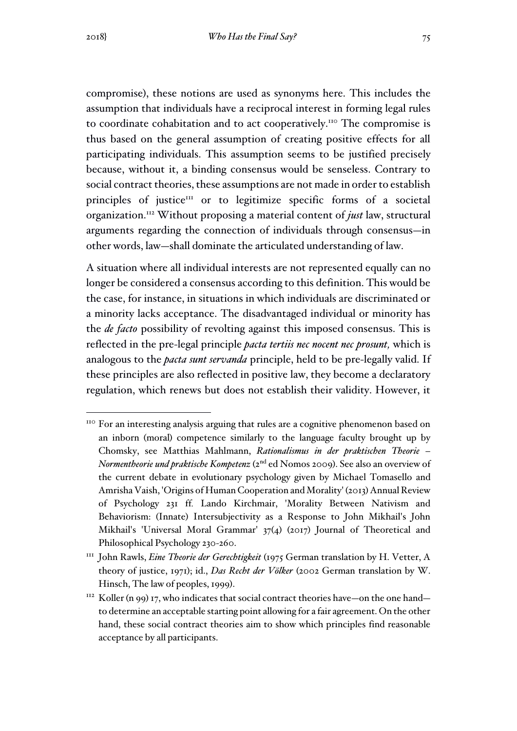$\overline{a}$ 

compromise), these notions are used as synonyms here. This includes the assumption that individuals have a reciprocal interest in forming legal rules to coordinate cohabitation and to act cooperatively.<sup>110</sup> The compromise is thus based on the general assumption of creating positive effects for all participating individuals. This assumption seems to be justified precisely because, without it, a binding consensus would be senseless. Contrary to social contract theories, these assumptions are not made in order to establish principles of justice<sup>111</sup> or to legitimize specific forms of a societal organization.<sup>112</sup> Without proposing a material content of *just* law, structural arguments regarding the connection of individuals through consensus—in other words, law—shall dominate the articulated understanding of law.

A situation where all individual interests are not represented equally can no longer be considered a consensus according to this definition. This would be the case, for instance, in situations in which individuals are discriminated or a minority lacks acceptance. The disadvantaged individual or minority has the *de facto* possibility of revolting against this imposed consensus. This is reflected in the pre-legal principle *pacta tertiis nec nocent nec prosunt,* which is analogous to the *pacta sunt servanda* principle, held to be pre-legally valid. If these principles are also reflected in positive law, they become a declaratory regulation, which renews but does not establish their validity. However, it

<sup>110</sup> For an interesting analysis arguing that rules are a cognitive phenomenon based on an inborn (moral) competence similarly to the language faculty brought up by Chomsky, see Matthias Mahlmann, *Rationalismus in der praktischen Theorie – Normentheorie und praktische Kompetenz* (2<sup>nd</sup> ed Nomos 2009). See also an overview of the current debate in evolutionary psychology given by Michael Tomasello and Amrisha Vaish, 'Origins of Human Cooperation and Morality' (2013) Annual Review of Psychology 231 ff*.* Lando Kirchmair, 'Morality Between Nativism and Behaviorism: (Innate) Intersubjectivity as a Response to John Mikhail's John Mikhail's 'Universal Moral Grammar' 37(4) (2017) Journal of Theoretical and Philosophical Psychology 230-260.

<sup>&</sup>lt;sup>111</sup> John Rawls, *Eine Theorie der Gerechtigkeit* (1975 German translation by H. Vetter, A theory of justice, 1971); id., *Das Recht der Völker* (2002 German translation by W. Hinsch, The law of peoples, 1999).

 $112$  Koller (n 99) 17, who indicates that social contract theories have—on the one hand to determine an acceptable starting point allowing for a fair agreement. On the other hand, these social contract theories aim to show which principles find reasonable acceptance by all participants.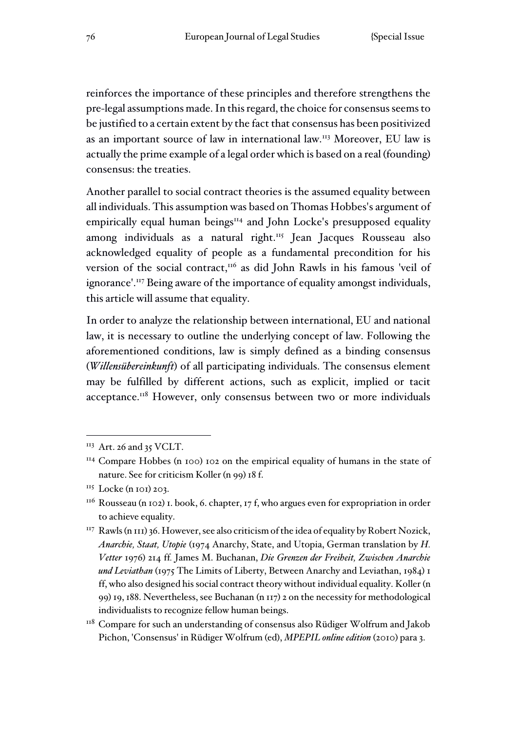reinforces the importance of these principles and therefore strengthens the pre-legal assumptions made. In this regard, the choice for consensus seems to be justified to a certain extent by the fact that consensus has been positivized as an important source of law in international law.<sup>113</sup> Moreover, EU law is actually the prime example of a legal order which is based on a real (founding) consensus: the treaties.

Another parallel to social contract theories is the assumed equality between all individuals. This assumption was based on Thomas Hobbes's argument of empirically equal human beings $^{114}$  and John Locke's presupposed equality among individuals as a natural right.<sup>115</sup> Jean Jacques Rousseau also acknowledged equality of people as a fundamental precondition for his version of the social contract,<sup>116</sup> as did John Rawls in his famous 'veil of ignorance'.<sup>117</sup> Being aware of the importance of equality amongst individuals, this article will assume that equality.

In order to analyze the relationship between international, EU and national law, it is necessary to outline the underlying concept of law. Following the aforementioned conditions, law is simply defined as a binding consensus (*Willensübereinkunft*) of all participating individuals. The consensus element may be fulfilled by different actions, such as explicit, implied or tacit acceptance.<sup>118</sup> However, only consensus between two or more individuals

 $113$  Art. 26 and 35 VCLT.

 $114$  Compare Hobbes (n 100) 102 on the empirical equality of humans in the state of nature. See for criticism Koller (n 99) 18 f.

<sup>&</sup>lt;sup>115</sup> Locke (n 101) 203.

 $116$  Rousseau (n 102) 1. book, 6. chapter, 17 f, who argues even for expropriation in order to achieve equality.

 $117$  Rawls (n 111) 36. However, see also criticism of the idea of equality by Robert Nozick, *Anarchie, Staat, Utopie* (1974 Anarchy, State, and Utopia, German translation by *H. Vetter* 1976) 214 ff*.* James M. Buchanan, *Die Grenzen der Freiheit, Zwischen Anarchie und Leviathan* (1975 The Limits of Liberty, Between Anarchy and Leviathan, 1984) 1 ff, who also designed his social contract theory without individual equality. Koller (n 99) 19, 188. Nevertheless, see Buchanan (n 117) 2 on the necessity for methodological individualists to recognize fellow human beings.

<sup>&</sup>lt;sup>118</sup> Compare for such an understanding of consensus also Rüdiger Wolfrum and Jakob Pichon, 'Consensus' in Rüdiger Wolfrum (ed), *MPEPIL online edition* (2010) para 3.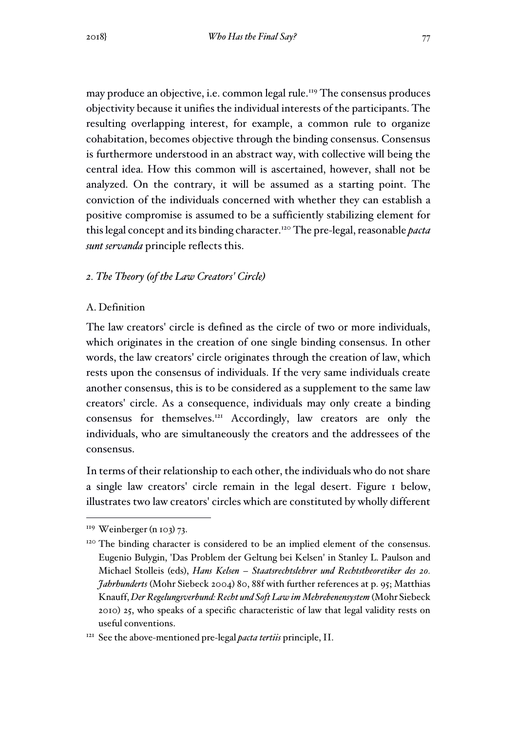may produce an objective, i.e. common legal rule.<sup>119</sup> The consensus produces objectivity because it unifies the individual interests of the participants. The resulting overlapping interest, for example, a common rule to organize cohabitation, becomes objective through the binding consensus. Consensus is furthermore understood in an abstract way, with collective will being the central idea. How this common will is ascertained, however, shall not be analyzed. On the contrary, it will be assumed as a starting point. The conviction of the individuals concerned with whether they can establish a positive compromise is assumed to be a sufficiently stabilizing element for this legal concept and its binding character.<sup>120</sup> The pre-legal, reasonable *pacta sunt servanda* principle reflects this.

#### *2. The Theory (of the Law Creators' Circle)*

#### A. Definition

The law creators' circle is defined as the circle of two or more individuals, which originates in the creation of one single binding consensus. In other words, the law creators' circle originates through the creation of law, which rests upon the consensus of individuals. If the very same individuals create another consensus, this is to be considered as a supplement to the same law creators' circle. As a consequence, individuals may only create a binding consensus for themselves.<sup>121</sup> Accordingly, law creators are only the individuals, who are simultaneously the creators and the addressees of the consensus.

In terms of their relationship to each other, the individuals who do not share a single law creators' circle remain in the legal desert. Figure 1 below, illustrates two law creators' circles which are constituted by wholly different

 $119$  Weinberger (n 103) 73.

<sup>&</sup>lt;sup>120</sup> The binding character is considered to be an implied element of the consensus. Eugenio Bulygin, 'Das Problem der Geltung bei Kelsen' in Stanley L. Paulson and Michael Stolleis (eds), *Hans Kelsen – Staatsrechtslehrer und Rechtstheoretiker des 20. Jahrhunderts* (Mohr Siebeck 2004) 80, 88f with further references at p. 95; Matthias Knauff, *Der Regelungsverbund: Recht und Soft Law im Mehrebenensystem* (Mohr Siebeck 2010) 25, who speaks of a specific characteristic of law that legal validity rests on useful conventions.

<sup>121</sup> See the above-mentioned pre-legal *pacta tertiis* principle, II.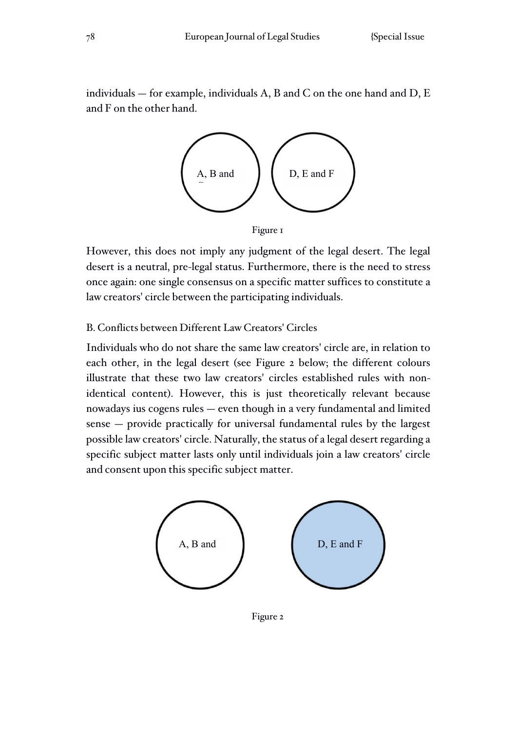individuals — for example, individuals A, B and C on the one hand and D, E and F on the other hand.



However, this does not imply any judgment of the legal desert. The legal desert is a neutral, pre-legal status. Furthermore, there is the need to stress once again: one single consensus on a specific matter suffices to constitute a law creators' circle between the participating individuals.

#### B. Conflicts between Different Law Creators' Circles

Individuals who do not share the same law creators' circle are, in relation to each other, in the legal desert (see Figure 2 below; the different colours illustrate that these two law creators' circles established rules with nonidentical content). However, this is just theoretically relevant because nowadays ius cogens rules — even though in a very fundamental and limited sense — provide practically for universal fundamental rules by the largest possible law creators' circle. Naturally, the status of a legal desert regarding a specific subject matter lasts only until individuals join a law creators' circle and consent upon this specific subject matter.

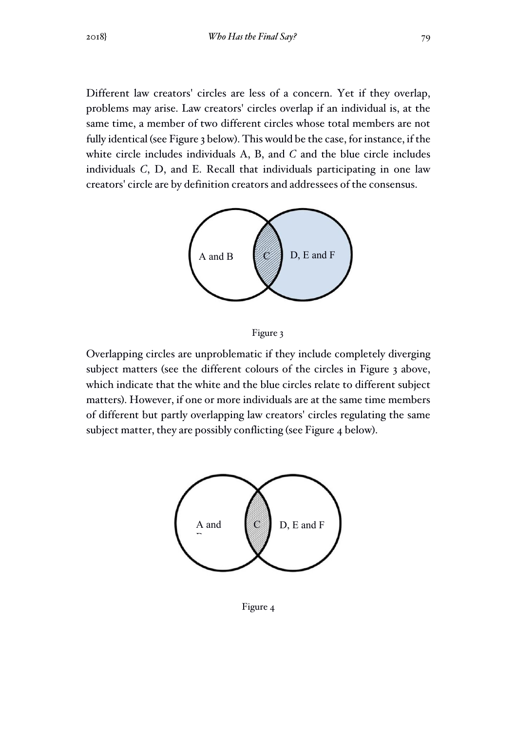Different law creators' circles are less of a concern. Yet if they overlap, problems may arise. Law creators' circles overlap if an individual is, at the same time, a member of two different circles whose total members are not fully identical (see Figure 3 below). This would be the case, for instance, if the white circle includes individuals A, B, and *C* and the blue circle includes individuals *C*, D, and E. Recall that individuals participating in one law creators' circle are by definition creators and addressees of the consensus.





Overlapping circles are unproblematic if they include completely diverging subject matters (see the different colours of the circles in Figure 3 above, which indicate that the white and the blue circles relate to different subject matters). However, if one or more individuals are at the same time members of different but partly overlapping law creators' circles regulating the same subject matter, they are possibly conflicting (see Figure 4 below).



Figure 4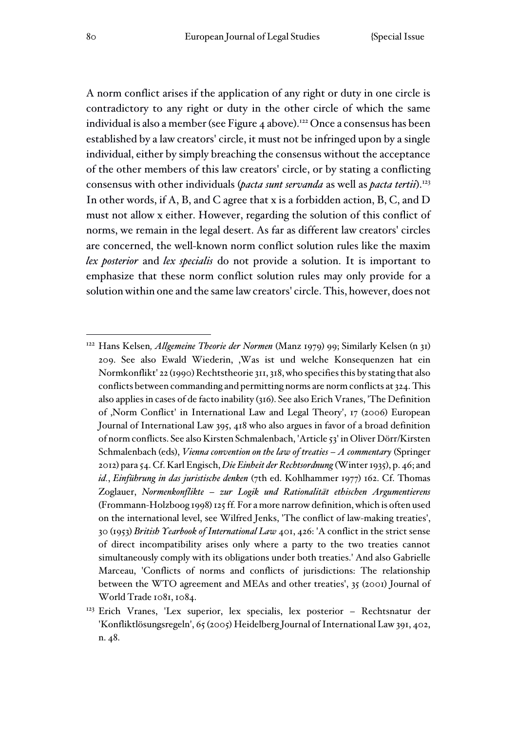A norm conflict arises if the application of any right or duty in one circle is contradictory to any right or duty in the other circle of which the same individual is also a member (see Figure 4 above).<sup>122</sup> Once a consensus has been established by a law creators' circle, it must not be infringed upon by a single individual, either by simply breaching the consensus without the acceptance of the other members of this law creators' circle, or by stating a conflicting consensus with other individuals (*pacta sunt servanda* as well as *pacta tertii*).<sup>123</sup> In other words, if A, B, and C agree that x is a forbidden action, B, C, and D must not allow x either. However, regarding the solution of this conflict of norms, we remain in the legal desert. As far as different law creators' circles are concerned, the well-known norm conflict solution rules like the maxim *lex posterior* and *lex specialis* do not provide a solution. It is important to emphasize that these norm conflict solution rules may only provide for a solution within one and the same law creators' circle. This, however, does not

<sup>122</sup> Hans Kelsen*, Allgemeine Theorie der Normen* (Manz 1979) 99; Similarly Kelsen (n 31) 209. See also Ewald Wiederin, 'Was ist und welche Konsequenzen hat ein Normkonflikt' 22 (1990) Rechtstheorie 311, 318, who specifies this by stating that also conflicts between commanding and permitting norms are norm conflicts at 324. This also applies in cases of de facto inability (316). See also Erich Vranes, 'The Definition of ,Norm Conflict' in International Law and Legal Theory', 17 (2006) European Journal of International Law 395, 418 who also argues in favor of a broad definition of norm conflicts. See also Kirsten Schmalenbach, 'Article 53' in Oliver Dörr/Kirsten Schmalenbach (eds), *Vienna convention on the law of treaties – A commentary* (Springer 2012) para 54. Cf. Karl Engisch, *Die Einheit der Rechtsordnung* (Winter 1935), p. 46; and *id.*, *Einführung in das juristische denken* (7th ed. Kohlhammer 1977) 162. Cf. Thomas Zoglauer, *Normenkonflikte – zur Logik und Rationalität ethischen Argumentierens* (Frommann-Holzboog 1998) 125 ff*.* For a more narrow definition, which is often used on the international level, see Wilfred Jenks, 'The conflict of law-making treaties', 30 (1953) *British Yearbook of International Law* 401, 426: 'A conflict in the strict sense of direct incompatibility arises only where a party to the two treaties cannot simultaneously comply with its obligations under both treaties.' And also Gabrielle Marceau, 'Conflicts of norms and conflicts of jurisdictions: The relationship between the WTO agreement and MEAs and other treaties', 35 (2001) Journal of World Trade 1081, 1084.

<sup>123</sup> Erich Vranes, 'Lex superior, lex specialis, lex posterior – Rechtsnatur der 'Konfliktlösungsregeln', 65 (2005) Heidelberg Journal of International Law 391, 402, n. 48.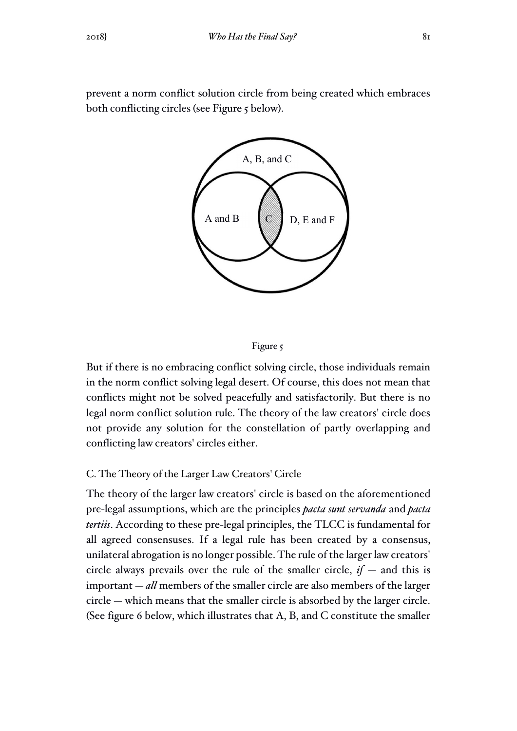prevent a norm conflict solution circle from being created which embraces both conflicting circles (see Figure 5 below).



#### Figure 5

But if there is no embracing conflict solving circle, those individuals remain in the norm conflict solving legal desert. Of course, this does not mean that conflicts might not be solved peacefully and satisfactorily. But there is no legal norm conflict solution rule. The theory of the law creators' circle does not provide any solution for the constellation of partly overlapping and conflicting law creators' circles either.

#### C. The Theory of the Larger Law Creators' Circle

The theory of the larger law creators' circle is based on the aforementioned pre-legal assumptions, which are the principles *pacta sunt servanda* and *pacta tertiis*. According to these pre-legal principles, the TLCC is fundamental for all agreed consensuses. If a legal rule has been created by a consensus, unilateral abrogation is no longer possible. The rule of the larger law creators' circle always prevails over the rule of the smaller circle,  $if$  – and this is important — *all* members of the smaller circle are also members of the larger circle — which means that the smaller circle is absorbed by the larger circle. (See figure 6 below, which illustrates that A, B, and C constitute the smaller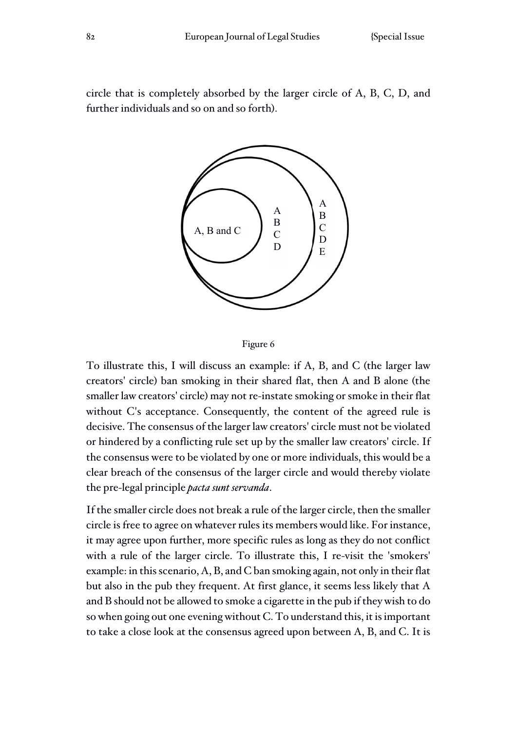circle that is completely absorbed by the larger circle of A, B, C, D, and further individuals and so on and so forth).





To illustrate this, I will discuss an example: if A, B, and C (the larger law creators' circle) ban smoking in their shared flat, then A and B alone (the smaller law creators' circle) may not re-instate smoking or smoke in their flat without C's acceptance. Consequently, the content of the agreed rule is decisive. The consensus of the larger law creators' circle must not be violated or hindered by a conflicting rule set up by the smaller law creators' circle. If the consensus were to be violated by one or more individuals, this would be a clear breach of the consensus of the larger circle and would thereby violate the pre-legal principle *pacta sunt servanda*.

If the smaller circle does not break a rule of the larger circle, then the smaller circle is free to agree on whatever rules its members would like. For instance, it may agree upon further, more specific rules as long as they do not conflict with a rule of the larger circle. To illustrate this, I re-visit the 'smokers' example: in this scenario, A, B, and C ban smoking again, not only in their flat but also in the pub they frequent. At first glance, it seems less likely that A and B should not be allowed to smoke a cigarette in the pub if they wish to do so when going out one evening without C. To understand this, it is important to take a close look at the consensus agreed upon between A, B, and C. It is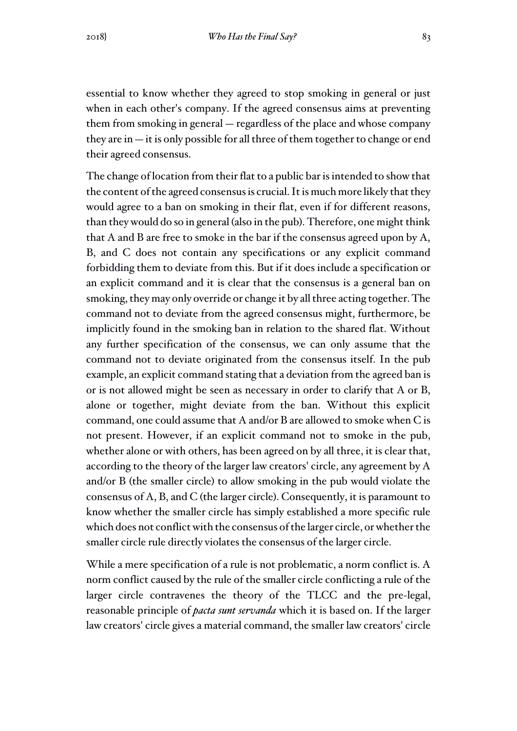essential to know whether they agreed to stop smoking in general or just when in each other's company. If the agreed consensus aims at preventing them from smoking in general — regardless of the place and whose company they are in — it is only possible for all three of them together to change or end their agreed consensus.

The change of location from their flat to a public bar is intended to show that the content of the agreed consensus is crucial. It is much more likely that they would agree to a ban on smoking in their flat, even if for different reasons, than they would do so in general (also in the pub). Therefore, one might think that A and B are free to smoke in the bar if the consensus agreed upon by A, B, and C does not contain any specifications or any explicit command forbidding them to deviate from this. But if it does include a specification or an explicit command and it is clear that the consensus is a general ban on smoking, they may only override or change it by all three acting together. The command not to deviate from the agreed consensus might, furthermore, be implicitly found in the smoking ban in relation to the shared flat. Without any further specification of the consensus, we can only assume that the command not to deviate originated from the consensus itself. In the pub example, an explicit command stating that a deviation from the agreed ban is or is not allowed might be seen as necessary in order to clarify that A or B, alone or together, might deviate from the ban. Without this explicit command, one could assume that A and/or B are allowed to smoke when C is not present. However, if an explicit command not to smoke in the pub, whether alone or with others, has been agreed on by all three, it is clear that, according to the theory of the larger law creators' circle, any agreement by A and/or B (the smaller circle) to allow smoking in the pub would violate the consensus of A, B, and C (the larger circle). Consequently, it is paramount to know whether the smaller circle has simply established a more specific rule which does not conflict with the consensus of the larger circle, or whether the smaller circle rule directly violates the consensus of the larger circle.

While a mere specification of a rule is not problematic, a norm conflict is. A norm conflict caused by the rule of the smaller circle conflicting a rule of the larger circle contravenes the theory of the TLCC and the pre-legal, reasonable principle of *pacta sunt servanda* which it is based on. If the larger law creators' circle gives a material command, the smaller law creators' circle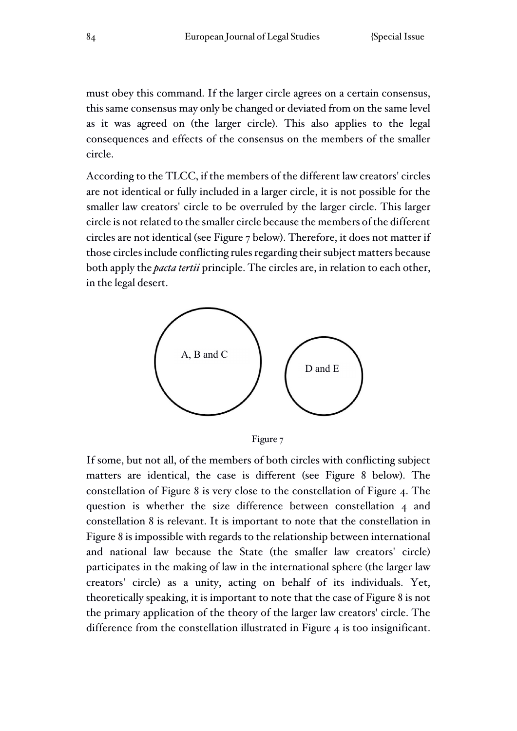must obey this command. If the larger circle agrees on a certain consensus, this same consensus may only be changed or deviated from on the same level as it was agreed on (the larger circle). This also applies to the legal consequences and effects of the consensus on the members of the smaller circle.

According to the TLCC, if the members of the different law creators' circles are not identical or fully included in a larger circle, it is not possible for the smaller law creators' circle to be overruled by the larger circle. This larger circle is not related to the smaller circle because the members of the different circles are not identical (see Figure 7 below). Therefore, it does not matter if those circles include conflicting rules regarding their subject matters because both apply the *pacta tertii* principle. The circles are, in relation to each other, in the legal desert.



Figure 7

If some, but not all, of the members of both circles with conflicting subject matters are identical, the case is different (see Figure 8 below). The constellation of Figure 8 is very close to the constellation of Figure 4. The question is whether the size difference between constellation 4 and constellation 8 is relevant. It is important to note that the constellation in Figure 8 is impossible with regards to the relationship between international and national law because the State (the smaller law creators' circle) participates in the making of law in the international sphere (the larger law creators' circle) as a unity, acting on behalf of its individuals. Yet, theoretically speaking, it is important to note that the case of Figure 8 is not the primary application of the theory of the larger law creators' circle. The difference from the constellation illustrated in Figure 4 is too insignificant.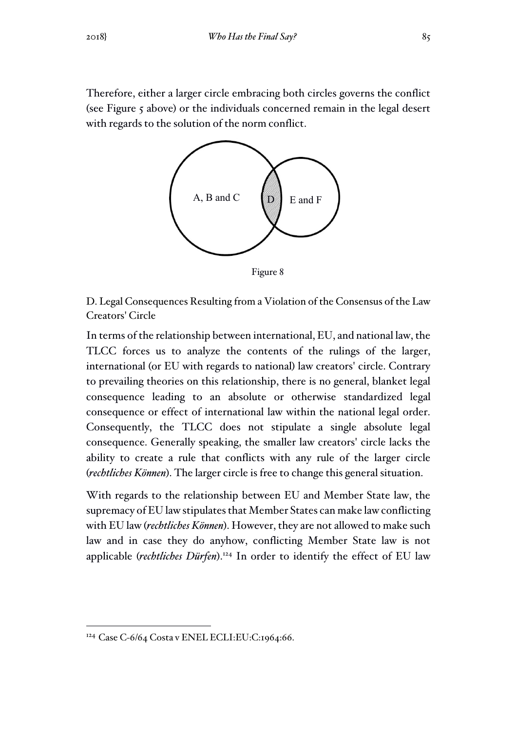Therefore, either a larger circle embracing both circles governs the conflict (see Figure 5 above) or the individuals concerned remain in the legal desert with regards to the solution of the norm conflict.



Figure 8

D. Legal Consequences Resulting from a Violation of the Consensus of the Law Creators' Circle

In terms of the relationship between international, EU, and national law, the TLCC forces us to analyze the contents of the rulings of the larger, international (or EU with regards to national) law creators' circle. Contrary to prevailing theories on this relationship, there is no general, blanket legal consequence leading to an absolute or otherwise standardized legal consequence or effect of international law within the national legal order. Consequently, the TLCC does not stipulate a single absolute legal consequence. Generally speaking, the smaller law creators' circle lacks the ability to create a rule that conflicts with any rule of the larger circle (*rechtliches Können*). The larger circle is free to change this general situation.

With regards to the relationship between EU and Member State law, the supremacy of EU law stipulates that Member States can make law conflicting with EU law (*rechtliches Können*). However, they are not allowed to make such law and in case they do anyhow, conflicting Member State law is not applicable (*rechtliches Dürfen*).<sup>124</sup> In order to identify the effect of EU law

<sup>124</sup> Case C-6/64 Costa v ENEL ECLI:EU:C:1964:66.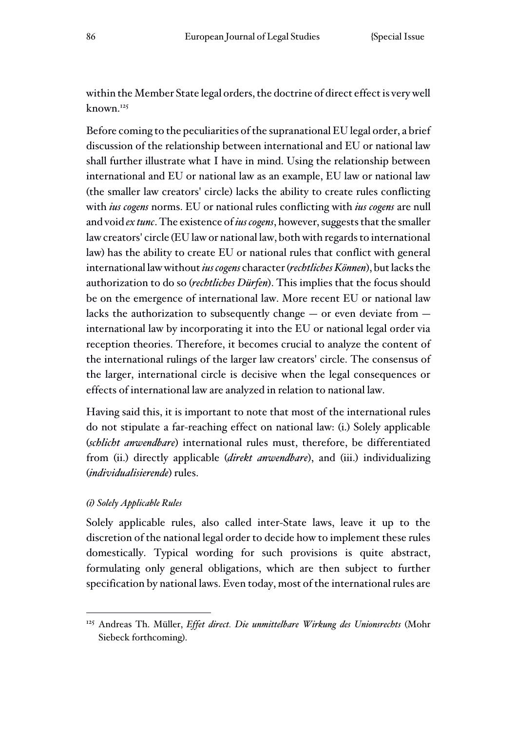within the Member State legal orders, the doctrine of direct effect is very well known.<sup>125</sup>

Before coming to the peculiarities of the supranational EU legal order, a brief discussion of the relationship between international and EU or national law shall further illustrate what I have in mind. Using the relationship between international and EU or national law as an example, EU law or national law (the smaller law creators' circle) lacks the ability to create rules conflicting with *ius cogens* norms. EU or national rules conflicting with *ius cogens* are null and void *ex tunc*. The existence of *ius cogens*, however, suggests that the smaller law creators' circle (EU law or national law, both with regards to international law) has the ability to create EU or national rules that conflict with general international law without *ius cogens* character (*rechtliches Können*), but lacks the authorization to do so (*rechtliches Dürfen*). This implies that the focus should be on the emergence of international law. More recent EU or national law lacks the authorization to subsequently change — or even deviate from international law by incorporating it into the EU or national legal order via reception theories. Therefore, it becomes crucial to analyze the content of the international rulings of the larger law creators' circle. The consensus of the larger, international circle is decisive when the legal consequences or effects of international law are analyzed in relation to national law.

Having said this, it is important to note that most of the international rules do not stipulate a far-reaching effect on national law: (i.) Solely applicable (*schlicht anwendbare*) international rules must, therefore, be differentiated from (ii.) directly applicable (*direkt anwendbare*), and (iii.) individualizing (*individualisierende*) rules.

## *(i) Solely Applicable Rules*

 $\overline{a}$ 

Solely applicable rules, also called inter-State laws, leave it up to the discretion of the national legal order to decide how to implement these rules domestically. Typical wording for such provisions is quite abstract, formulating only general obligations, which are then subject to further specification by national laws. Even today, most of the international rules are

<sup>125</sup> Andreas Th. Müller, *Effet direct. Die unmittelbare Wirkung des Unionsrechts* (Mohr Siebeck forthcoming).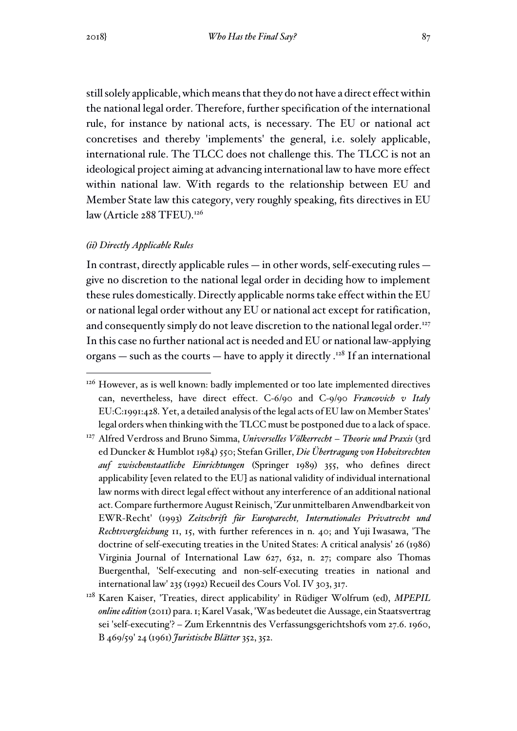$\overline{a}$ 

still solely applicable, which means that they do not have a direct effect within the national legal order. Therefore, further specification of the international rule, for instance by national acts, is necessary. The EU or national act concretises and thereby 'implements' the general, i.e. solely applicable, international rule. The TLCC does not challenge this. The TLCC is not an ideological project aiming at advancing international law to have more effect within national law. With regards to the relationship between EU and Member State law this category, very roughly speaking, fits directives in EU law (Article 288 TFEU).<sup>126</sup>

#### *(ii) Directly Applicable Rules*

In contrast, directly applicable rules — in other words, self-executing rules give no discretion to the national legal order in deciding how to implement these rules domestically. Directly applicable norms take effect within the EU or national legal order without any EU or national act except for ratification, and consequently simply do not leave discretion to the national legal order.<sup>127</sup> In this case no further national act is needed and EU or national law-applying organs — such as the courts — have to apply it directly  $.128$  If an international

 $126$  However, as is well known: badly implemented or too late implemented directives can, nevertheless, have direct effect. C-6/90 and C-9/90 *Francovich v Italy* EU:C:1991:428. Yet, a detailed analysis of the legal acts of EU law on Member States' legal orders when thinking with the TLCC must be postponed due to a lack of space.

<sup>127</sup> Alfred Verdross and Bruno Simma, *Universelles Völkerrecht – Theorie und Praxis* (3rd ed Duncker & Humblot 1984) 550; Stefan Griller, *Die Übertragung von Hoheitsrechten auf zwischenstaatliche Einrichtungen* (Springer 1989) 355, who defines direct applicability [even related to the EU] as national validity of individual international law norms with direct legal effect without any interference of an additional national act. Compare furthermore August Reinisch, 'Zur unmittelbaren Anwendbarkeit von EWR-Recht' (1993) *Zeitschrift für Europarecht, Internationales Privatrecht und Rechtsvergleichung* 11, 15, with further references in n. 40; and Yuji Iwasawa, 'The doctrine of self-executing treaties in the United States: A critical analysis' 26 (1986) Virginia Journal of International Law 627, 632, n. 27; compare also Thomas Buergenthal, 'Self-executing and non-self-executing treaties in national and international law' 235 (1992) Recueil des Cours Vol. IV 303, 317.

<sup>128</sup> Karen Kaiser, 'Treaties, direct applicability' in Rüdiger Wolfrum (ed), *MPEPIL online edition* (2011) para. 1; Karel Vasak, 'Was bedeutet die Aussage, ein Staatsvertrag sei 'self-executing'? – Zum Erkenntnis des Verfassungsgerichtshofs vom 27.6. 1960, B 469/59' 24 (1961) *Juristische Blätter* 352, 352.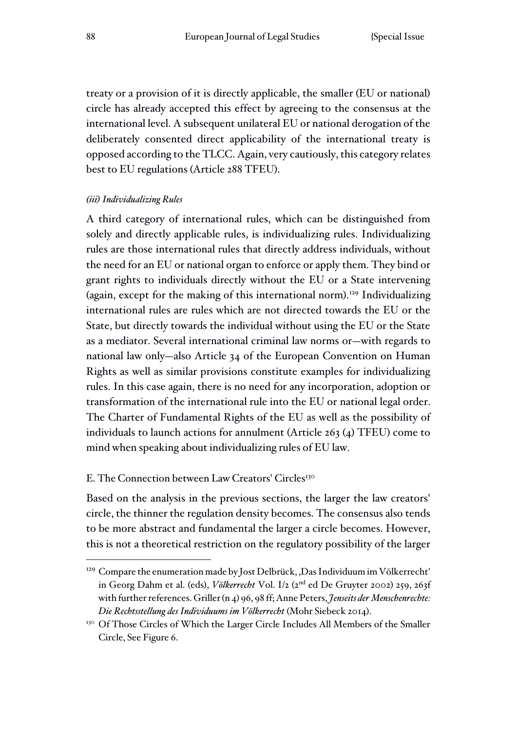treaty or a provision of it is directly applicable, the smaller (EU or national) circle has already accepted this effect by agreeing to the consensus at the international level. A subsequent unilateral EU or national derogation of the deliberately consented direct applicability of the international treaty is opposed according to the TLCC. Again, very cautiously, this category relates best to EU regulations (Article 288 TFEU).

#### *(iii) Individualizing Rules*

A third category of international rules, which can be distinguished from solely and directly applicable rules, is individualizing rules. Individualizing rules are those international rules that directly address individuals, without the need for an EU or national organ to enforce or apply them. They bind or grant rights to individuals directly without the EU or a State intervening (again, except for the making of this international norm).<sup>129</sup> Individualizing international rules are rules which are not directed towards the EU or the State, but directly towards the individual without using the EU or the State as a mediator. Several international criminal law norms or—with regards to national law only—also Article 34 of the European Convention on Human Rights as well as similar provisions constitute examples for individualizing rules. In this case again, there is no need for any incorporation, adoption or transformation of the international rule into the EU or national legal order. The Charter of Fundamental Rights of the EU as well as the possibility of individuals to launch actions for annulment (Article 263 (4) TFEU) come to mind when speaking about individualizing rules of EU law.

## E. The Connection between Law Creators' Circles<sup>130</sup>

Based on the analysis in the previous sections, the larger the law creators' circle, the thinner the regulation density becomes. The consensus also tends to be more abstract and fundamental the larger a circle becomes. However, this is not a theoretical restriction on the regulatory possibility of the larger

<sup>&</sup>lt;sup>129</sup> Compare the enumeration made by Jost Delbrück, , Das Individuum im Völkerrecht' in Georg Dahm et al. (eds), *Völkerrecht* Vol. I/2 (2nd ed De Gruyter 2002) 259, 263f with further references. Griller (n 4) 96, 98 ff; Anne Peters, *Jenseits der Menschenrechte: Die Rechtsstellung des Individuums im Völkerrecht* (Mohr Siebeck 2014).

<sup>&</sup>lt;sup>130</sup> Of Those Circles of Which the Larger Circle Includes All Members of the Smaller Circle, See Figure 6.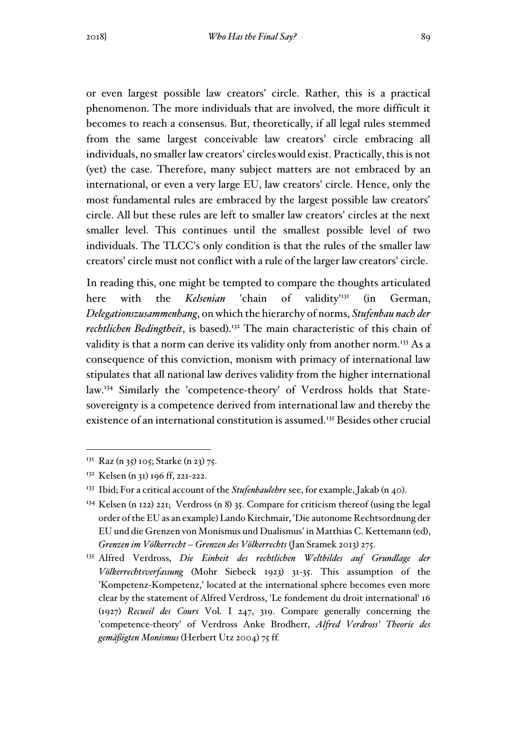or even largest possible law creators' circle. Rather, this is a practical phenomenon. The more individuals that are involved, the more difficult it becomes to reach a consensus. But, theoretically, if all legal rules stemmed from the same largest conceivable law creators' circle embracing all individuals, no smaller law creators' circles would exist. Practically, this is not (yet) the case. Therefore, many subject matters are not embraced by an international, or even a very large EU, law creators' circle. Hence, only the most fundamental rules are embraced by the largest possible law creators' circle. All but these rules are left to smaller law creators' circles at the next smaller level. This continues until the smallest possible level of two individuals. The TLCC's only condition is that the rules of the smaller law creators' circle must not conflict with a rule of the larger law creators' circle.

In reading this, one might be tempted to compare the thoughts articulated here with the *Kelsenian* 'chain of validity'<sup>131</sup> (in German, *Delegationszusammenhang*, on which the hierarchy of norms, *Stufenbau nach der rechtlichen Bedingtheit*, is based).<sup>132</sup> The main characteristic of this chain of validity is that a norm can derive its validity only from another norm.<sup>133</sup> As a consequence of this conviction, monism with primacy of international law stipulates that all national law derives validity from the higher international law.<sup>134</sup> Similarly the 'competence-theory' of Verdross holds that Statesovereignty is a competence derived from international law and thereby the existence of an international constitution is assumed.<sup>135</sup> Besides other crucial

<sup>&</sup>lt;sup>131</sup> Raz (n 35) 105; Starke (n 23) 75.

<sup>132</sup> Kelsen (n 31) 196 ff, 221-222.

<sup>&</sup>lt;sup>133</sup> Ibid; For a critical account of the *Stufenbaulehre* see, for example, Jakab (n 40).

<sup>134</sup> Kelsen (n 122) 221; Verdross (n 8) 35. Compare for criticism thereof (using the legal order of the EU as an example) Lando Kirchmair, 'Die autonome Rechtsordnung der EU und die Grenzen von Monismus und Dualismus' in Matthias C. Kettemann (ed), *Grenzen im Völkerrecht – Grenzen des Völkerrechts* (Jan Sramek 2013) 275.

<sup>135</sup> Alfred Verdross, *Die Einheit des rechtlichen Weltbildes auf Grundlage der Völkerrechtsverfassung* (Mohr Siebeck 1923) 31-35. This assumption of the 'Kompetenz-Kompetenz,' located at the international sphere becomes even more clear by the statement of Alfred Verdross, 'Le fondement du droit international' 16 (1927) *Recueil des Cours* Vol. I 247, 319. Compare generally concerning the 'competence-theory' of Verdross Anke Brodherr, *Alfred Verdross' Theorie des gemäßigten Monismus* (Herbert Utz 2004) 75 ff*.*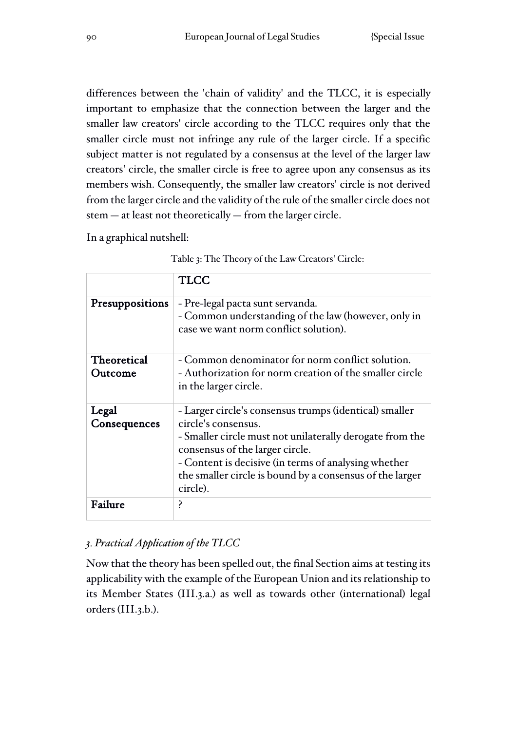differences between the 'chain of validity' and the TLCC, it is especially important to emphasize that the connection between the larger and the smaller law creators' circle according to the TLCC requires only that the smaller circle must not infringe any rule of the larger circle. If a specific subject matter is not regulated by a consensus at the level of the larger law creators' circle, the smaller circle is free to agree upon any consensus as its members wish. Consequently, the smaller law creators' circle is not derived from the larger circle and the validity of the rule of the smaller circle does not stem — at least not theoretically — from the larger circle.

In a graphical nutshell:

|                               | <b>TLCC</b>                                                                                                                                                                                                                                                                                                  |
|-------------------------------|--------------------------------------------------------------------------------------------------------------------------------------------------------------------------------------------------------------------------------------------------------------------------------------------------------------|
| Presuppositions               | - Pre-legal pacta sunt servanda.<br>- Common understanding of the law (however, only in<br>case we want norm conflict solution).                                                                                                                                                                             |
| <b>Theoretical</b><br>Outcome | - Common denominator for norm conflict solution.<br>- Authorization for norm creation of the smaller circle<br>in the larger circle.                                                                                                                                                                         |
| Legal<br>Consequences         | - Larger circle's consensus trumps (identical) smaller<br>circle's consensus.<br>- Smaller circle must not unilaterally derogate from the<br>consensus of the larger circle.<br>- Content is decisive (in terms of analysing whether<br>the smaller circle is bound by a consensus of the larger<br>circle). |
| Failure                       | ?                                                                                                                                                                                                                                                                                                            |

Table 3: The Theory of the Law Creators' Circle:

# *3. Practical Application of the TLCC*

Now that the theory has been spelled out, the final Section aims at testing its applicability with the example of the European Union and its relationship to its Member States (III.3.a.) as well as towards other (international) legal orders (III.3.b.).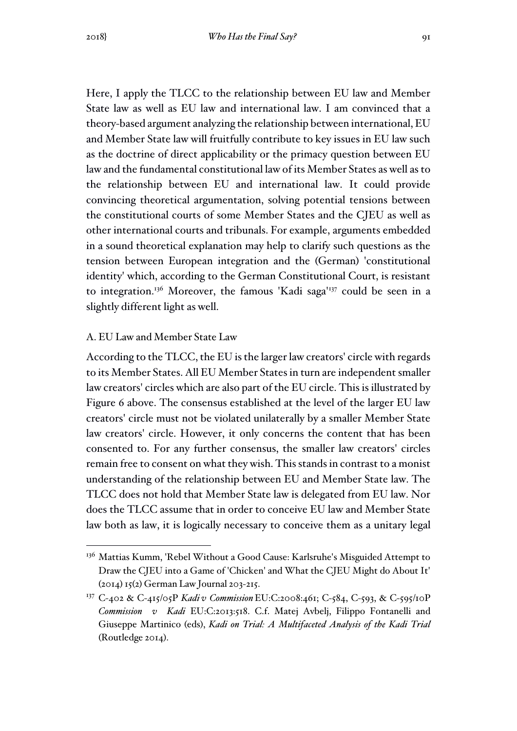$\overline{a}$ 

Here, I apply the TLCC to the relationship between EU law and Member State law as well as EU law and international law. I am convinced that a theory-based argument analyzing the relationship between international, EU and Member State law will fruitfully contribute to key issues in EU law such as the doctrine of direct applicability or the primacy question between EU law and the fundamental constitutional law of its Member States as well as to the relationship between EU and international law. It could provide convincing theoretical argumentation, solving potential tensions between the constitutional courts of some Member States and the CJEU as well as other international courts and tribunals. For example, arguments embedded in a sound theoretical explanation may help to clarify such questions as the tension between European integration and the (German) 'constitutional identity' which, according to the German Constitutional Court, is resistant to integration.<sup>136</sup> Moreover, the famous 'Kadi saga'<sup>137</sup> could be seen in a slightly different light as well.

## A. EU Law and Member State Law

According to the TLCC, the EU is the larger law creators' circle with regards to its Member States. All EU Member States in turn are independent smaller law creators' circles which are also part of the EU circle. This is illustrated by Figure 6 above. The consensus established at the level of the larger EU law creators' circle must not be violated unilaterally by a smaller Member State law creators' circle. However, it only concerns the content that has been consented to. For any further consensus, the smaller law creators' circles remain free to consent on what they wish. This stands in contrast to a monist understanding of the relationship between EU and Member State law. The TLCC does not hold that Member State law is delegated from EU law. Nor does the TLCC assume that in order to conceive EU law and Member State law both as law, it is logically necessary to conceive them as a unitary legal

<sup>&</sup>lt;sup>136</sup> Mattias Kumm, 'Rebel Without a Good Cause: Karlsruhe's Misguided Attempt to Draw the CJEU into a Game of 'Chicken' and What the CJEU Might do About It' (2014) 15(2) German Law Journal 203-215.

<sup>137</sup> C-402 & C-415/05P *Kadi v Commission*EU:C:2008:461; C-584, C-593, & C-595/10P *Commission v Kadi* EU:C:2013:518. C.f. Matej Avbelj, Filippo Fontanelli and Giuseppe Martinico (eds), *Kadi on Trial: A Multifaceted Analysis of the Kadi Trial* (Routledge 2014).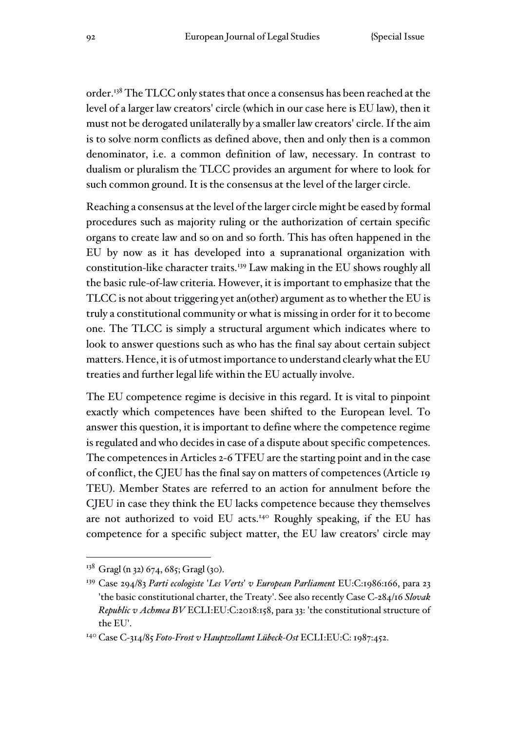order.<sup>138</sup> The TLCC only states that once a consensus has been reached at the level of a larger law creators' circle (which in our case here is EU law), then it must not be derogated unilaterally by a smaller law creators' circle. If the aim is to solve norm conflicts as defined above, then and only then is a common denominator, i.e. a common definition of law, necessary. In contrast to dualism or pluralism the TLCC provides an argument for where to look for such common ground. It is the consensus at the level of the larger circle.

Reaching a consensus at the level of the larger circle might be eased by formal procedures such as majority ruling or the authorization of certain specific organs to create law and so on and so forth. This has often happened in the EU by now as it has developed into a supranational organization with constitution-like character traits.<sup>139</sup> Law making in the EU shows roughly all the basic rule-of-law criteria. However, it is important to emphasize that the TLCC is not about triggering yet an(other) argument as to whether the EU is truly a constitutional community or what is missing in order for it to become one. The TLCC is simply a structural argument which indicates where to look to answer questions such as who has the final say about certain subject matters. Hence, it is of utmost importance to understand clearly what the EU treaties and further legal life within the EU actually involve.

The EU competence regime is decisive in this regard. It is vital to pinpoint exactly which competences have been shifted to the European level. To answer this question, it is important to define where the competence regime is regulated and who decides in case of a dispute about specific competences. The competences in Articles 2-6 TFEU are the starting point and in the case of conflict, the CJEU has the final say on matters of competences (Article 19 TEU). Member States are referred to an action for annulment before the CJEU in case they think the EU lacks competence because they themselves are not authorized to void EU acts.<sup>140</sup> Roughly speaking, if the EU has competence for a specific subject matter, the EU law creators' circle may

 $138$  Gragl (n 32) 674, 685; Gragl (30).

<sup>139</sup> Case 294/83 *Parti ecologiste* '*Les Verts*' *v European Parliament* EU:C:1986:166, para 23 'the basic constitutional charter, the Treaty'. See also recently Case C-284/16 *Slovak Republic v Achmea BV* ECLI:EU:C:2018:158, para 33: 'the constitutional structure of the EU'.

<sup>140</sup> Case C-314/85 *Foto-Frost v Hauptzollamt Lübeck-Ost* ECLI:EU:C: 1987:452.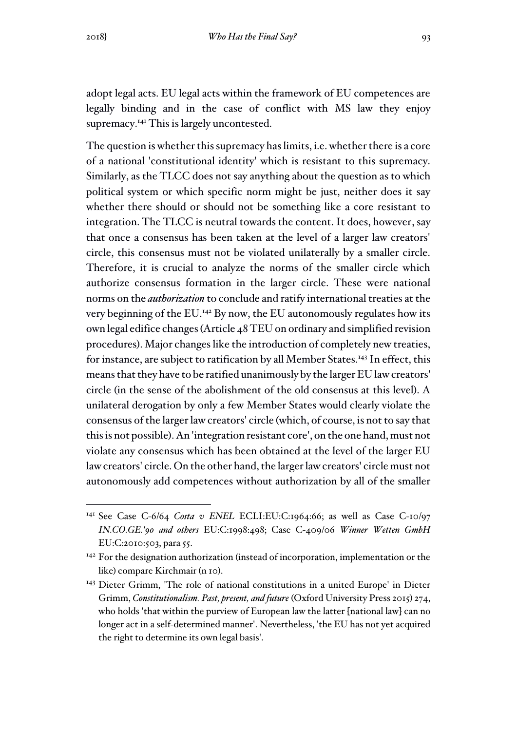$\overline{a}$ 

adopt legal acts. EU legal acts within the framework of EU competences are legally binding and in the case of conflict with MS law they enjoy supremacy.<sup>141</sup> This is largely uncontested.

The question is whether this supremacy has limits, i.e. whether there is a core of a national 'constitutional identity' which is resistant to this supremacy. Similarly, as the TLCC does not say anything about the question as to which political system or which specific norm might be just, neither does it say whether there should or should not be something like a core resistant to integration. The TLCC is neutral towards the content. It does, however, say that once a consensus has been taken at the level of a larger law creators' circle, this consensus must not be violated unilaterally by a smaller circle. Therefore, it is crucial to analyze the norms of the smaller circle which authorize consensus formation in the larger circle. These were national norms on the *authorization* to conclude and ratify international treaties at the very beginning of the EU.<sup>142</sup> By now, the EU autonomously regulates how its own legal edifice changes (Article 48 TEU on ordinary and simplified revision procedures). Major changes like the introduction of completely new treaties, for instance, are subject to ratification by all Member States.<sup>143</sup> In effect, this means that they have to be ratified unanimously by the larger EU law creators' circle (in the sense of the abolishment of the old consensus at this level). A unilateral derogation by only a few Member States would clearly violate the consensus of the larger law creators' circle (which, of course, is not to say that this is not possible). An 'integration resistant core', on the one hand, must not violate any consensus which has been obtained at the level of the larger EU law creators' circle. On the other hand, the larger law creators' circle must not autonomously add competences without authorization by all of the smaller

<sup>&</sup>lt;sup>141</sup> See Case C-6/64 *Costa v ENEL* ECLI:EU:C:1964:66; as well as Case C-10/97 *IN.CO.GE.'90 and others* EU:C:1998:498; Case C-409/06 *Winner Wetten GmbH* EU:C:2010:503, para 55.

<sup>&</sup>lt;sup>142</sup> For the designation authorization (instead of incorporation, implementation or the like) compare Kirchmair (n 10).

<sup>143</sup> Dieter Grimm, 'The role of national constitutions in a united Europe' in Dieter Grimm, *Constitutionalism. Past, present, and future* (Oxford University Press 2015) 274, who holds 'that within the purview of European law the latter [national law] can no longer act in a self-determined manner'. Nevertheless, 'the EU has not yet acquired the right to determine its own legal basis'.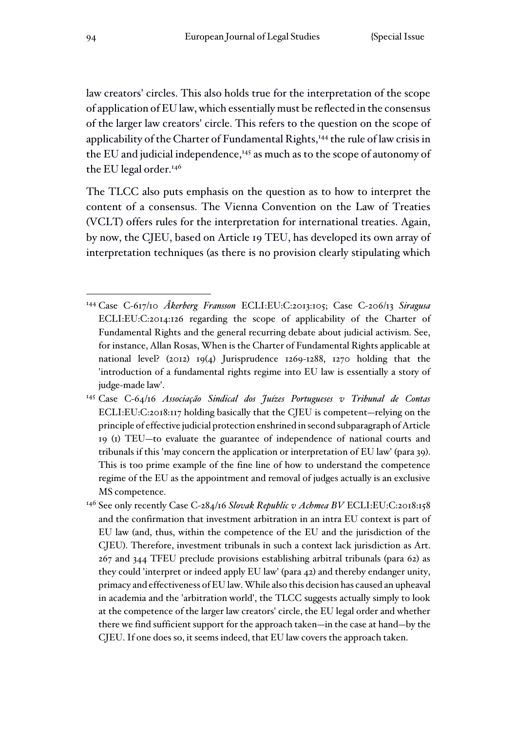law creators' circles. This also holds true for the interpretation of the scope of application of EU law, which essentially must be reflected in the consensus of the larger law creators' circle. This refers to the question on the scope of applicability of the Charter of Fundamental Rights,<sup>144</sup> the rule of law crisis in the EU and judicial independence, $145$  as much as to the scope of autonomy of the EU legal order.<sup>146</sup>

The TLCC also puts emphasis on the question as to how to interpret the content of a consensus. The Vienna Convention on the Law of Treaties (VCLT) offers rules for the interpretation for international treaties. Again, by now, the CJEU, based on Article 19 TEU, has developed its own array of interpretation techniques (as there is no provision clearly stipulating which

- <sup>145</sup> Case C-64/16 *Associação Sindical dos Juízes Portugueses v Tribunal de Contas* ECLI:EU:C:2018:117 holding basically that the CJEU is competent—relying on the principle of effective judicial protection enshrined in second subparagraph of Article 19 (1) TEU—to evaluate the guarantee of independence of national courts and tribunals if this 'may concern the application or interpretation of EU law' (para 39). This is too prime example of the fine line of how to understand the competence regime of the EU as the appointment and removal of judges actually is an exclusive MS competence.
- <sup>146</sup> See only recently Case C-284/16 *Slovak Republic v Achmea BV* ECLI:EU:C:2018:158 and the confirmation that investment arbitration in an intra EU context is part of EU law (and, thus, within the competence of the EU and the jurisdiction of the CJEU). Therefore, investment tribunals in such a context lack jurisdiction as Art. 267 and 344 TFEU preclude provisions establishing arbitral tribunals (para 62) as they could 'interpret or indeed apply EU law' (para 42) and thereby endanger unity, primacy and effectiveness of EU law. While also this decision has caused an upheaval in academia and the 'arbitration world', the TLCC suggests actually simply to look at the competence of the larger law creators' circle, the EU legal order and whether there we find sufficient support for the approach taken—in the case at hand—by the CJEU. If one does so, it seems indeed, that EU law covers the approach taken.

<sup>144</sup> Case C-617/10 *Åkerberg Fransson* ECLI:EU:C:2013:105; Case C-206/13 *Siragusa* ECLI:EU:C:2014:126 regarding the scope of applicability of the Charter of Fundamental Rights and the general recurring debate about judicial activism. See, for instance, Allan Rosas, When is the Charter of Fundamental Rights applicable at national level? (2012) 19(4) Jurisprudence 1269-1288, 1270 holding that the 'introduction of a fundamental rights regime into EU law is essentially a story of judge-made law'.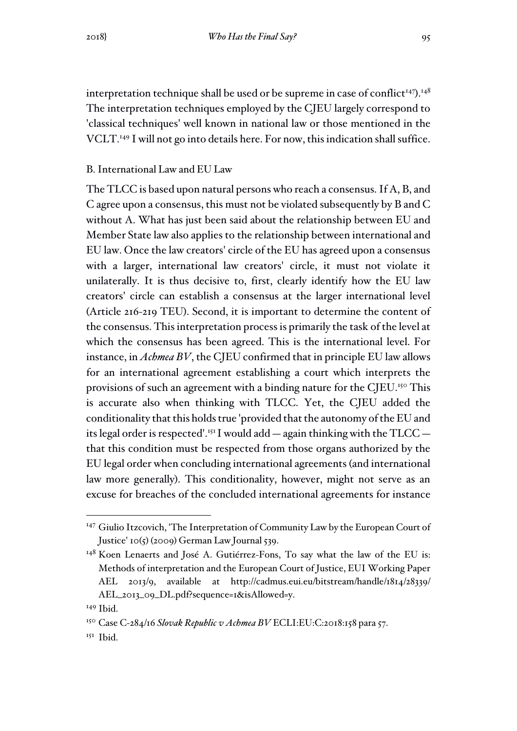interpretation technique shall be used or be supreme in case of conflict<sup>147</sup>).<sup>148</sup> The interpretation techniques employed by the CJEU largely correspond to 'classical techniques' well known in national law or those mentioned in the VCLT.<sup>149</sup> I will not go into details here. For now, this indication shall suffice.

#### B. International Law and EU Law

The TLCC is based upon natural persons who reach a consensus. If A, B, and C agree upon a consensus, this must not be violated subsequently by B and C without A. What has just been said about the relationship between EU and Member State law also applies to the relationship between international and EU law. Once the law creators' circle of the EU has agreed upon a consensus with a larger, international law creators' circle, it must not violate it unilaterally. It is thus decisive to, first, clearly identify how the EU law creators' circle can establish a consensus at the larger international level (Article 216-219 TEU). Second, it is important to determine the content of the consensus. This interpretation process is primarily the task of the level at which the consensus has been agreed. This is the international level. For instance, in *Achmea BV*, the CJEU confirmed that in principle EU law allows for an international agreement establishing a court which interprets the provisions of such an agreement with a binding nature for the CJEU.<sup>150</sup> This is accurate also when thinking with TLCC. Yet, the CJEU added the conditionality that this holds true 'provided that the autonomy of the EU and its legal order is respected'.<sup>151</sup> I would add — again thinking with the  $TLCC$ that this condition must be respected from those organs authorized by the EU legal order when concluding international agreements (and international law more generally). This conditionality, however, might not serve as an excuse for breaches of the concluded international agreements for instance

<sup>&</sup>lt;sup>147</sup> Giulio Itzcovich, 'The Interpretation of Community Law by the European Court of Justice'  $I\text{O}(5)$  (2009) German Law Journal 539.

 $148$  Koen Lenaerts and José A. Gutiérrez-Fons, To say what the law of the EU is: Methods of interpretation and the European Court of Justice, EUI Working Paper AEL 2013/9, available at http://cadmus.eui.eu/bitstream/handle/1814/28339/ AEL\_2013\_09\_DL.pdf?sequence=1&isAllowed=y.

<sup>&</sup>lt;sup>149</sup> Ibid.

<sup>150</sup> Case C-284/16 *Slovak Republic v Achmea BV* ECLI:EU:C:2018:158 para 57.

<sup>151</sup> Ibid.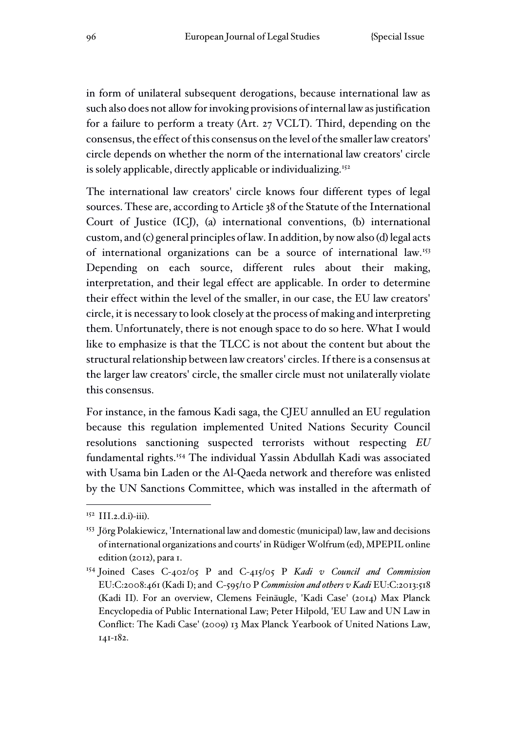in form of unilateral subsequent derogations, because international law as such also does not allow for invoking provisions of internal law as justification for a failure to perform a treaty (Art. 27 VCLT). Third, depending on the consensus, the effect of this consensus on the level of the smaller law creators' circle depends on whether the norm of the international law creators' circle is solely applicable, directly applicable or individualizing.<sup>152</sup>

The international law creators' circle knows four different types of legal sources. These are, according to Article 38 of the Statute of the International Court of Justice (ICJ), (a) international conventions, (b) international custom, and (c) general principles of law. In addition, by now also (d) legal acts of international organizations can be a source of international law.<sup>153</sup> Depending on each source, different rules about their making, interpretation, and their legal effect are applicable. In order to determine their effect within the level of the smaller, in our case, the EU law creators' circle, it is necessary to look closely at the process of making and interpreting them. Unfortunately, there is not enough space to do so here. What I would like to emphasize is that the TLCC is not about the content but about the structural relationship between law creators' circles. If there is a consensus at the larger law creators' circle, the smaller circle must not unilaterally violate this consensus.

For instance, in the famous Kadi saga, the CJEU annulled an EU regulation because this regulation implemented United Nations Security Council resolutions sanctioning suspected terrorists without respecting *EU* fundamental rights.<sup>154</sup> The individual Yassin Abdullah Kadi was associated with Usama bin Laden or the Al-Qaeda network and therefore was enlisted by the UN Sanctions Committee, which was installed in the aftermath of

 $152$  III.2.d.i)-iii).

<sup>&</sup>lt;sup>153</sup> Jörg Polakiewicz, 'International law and domestic (municipal) law, law and decisions of international organizations and courts' in Rüdiger Wolfrum (ed), MPEPIL online edition (2012), para 1.

<sup>154</sup> Joined Cases C-402/05 P and C-415/05 P *Kadi v Council and Commission* EU:C:2008:461 (Kadi I); and C-595/10 P *Commission and others v Kadi* EU:C:2013:518 (Kadi II). For an overview, Clemens Feinäugle, 'Kadi Case' (2014) Max Planck Encyclopedia of Public International Law; Peter Hilpold, 'EU Law and UN Law in Conflict: The Kadi Case' (2009) 13 Max Planck Yearbook of United Nations Law, 141-182.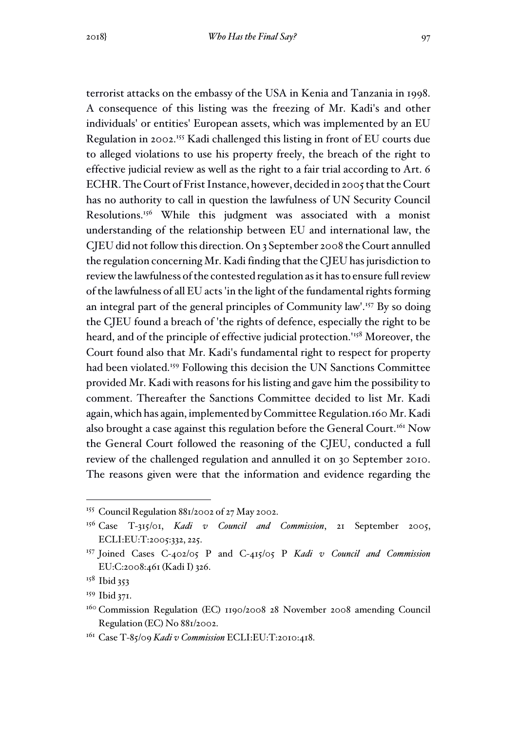terrorist attacks on the embassy of the USA in Kenia and Tanzania in 1998. A consequence of this listing was the freezing of Mr. Kadi's and other individuals' or entities' European assets, which was implemented by an EU Regulation in 2002.<sup>155</sup> Kadi challenged this listing in front of EU courts due to alleged violations to use his property freely, the breach of the right to effective judicial review as well as the right to a fair trial according to Art. 6 ECHR. The Court of Frist Instance, however, decided in 2005 that the Court has no authority to call in question the lawfulness of UN Security Council Resolutions.<sup>156</sup> While this judgment was associated with a monist understanding of the relationship between EU and international law, the CJEU did not follow this direction. On 3 September 2008 the Court annulled the regulation concerning Mr. Kadi finding that the CJEU has jurisdiction to review the lawfulness of the contested regulation as it has to ensure full review of the lawfulness of all EU acts 'in the light of the fundamental rights forming an integral part of the general principles of Community law'.<sup>157</sup> By so doing the CJEU found a breach of 'the rights of defence, especially the right to be heard, and of the principle of effective judicial protection.'<sup>158</sup> Moreover, the Court found also that Mr. Kadi's fundamental right to respect for property had been violated.<sup>159</sup> Following this decision the UN Sanctions Committee provided Mr. Kadi with reasons for his listing and gave him the possibility to comment. Thereafter the Sanctions Committee decided to list Mr. Kadi again, which has again, implemented by Committee Regulation.160Mr. Kadi also brought a case against this regulation before the General Court.<sup>161</sup> Now the General Court followed the reasoning of the CJEU, conducted a full review of the challenged regulation and annulled it on 30 September 2010. The reasons given were that the information and evidence regarding the

<sup>155</sup> Council Regulation 881/2002 of 27 May 2002.

<sup>156</sup> Case T-315/01, *Kadi v Council and Commission*, 21 September 2005, ECLI:EU:T:2005:332, 225.

<sup>157</sup> Joined Cases C-402/05 P and C-415/05 P *Kadi v Council and Commission* EU:C:2008:461 (Kadi I) 326.

<sup>&</sup>lt;sup>158</sup> Ibid 353

<sup>&</sup>lt;sup>159</sup> Ibid 371.

<sup>&</sup>lt;sup>160</sup> Commission Regulation (EC) 1190/2008 28 November 2008 amending Council Regulation (EC) No 881/2002.

<sup>161</sup> Case T-85/09 *Kadi v Commission* ECLI:EU:T:2010:418.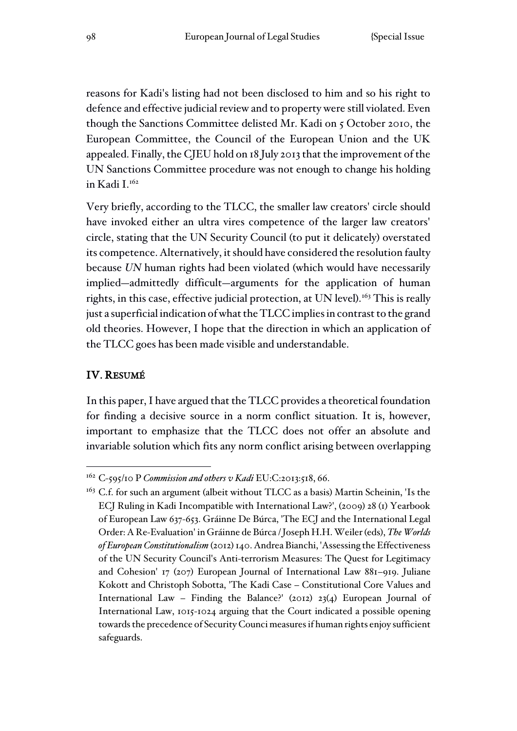reasons for Kadi's listing had not been disclosed to him and so his right to defence and effective judicial review and to property were still violated. Even though the Sanctions Committee delisted Mr. Kadi on 5 October 2010, the European Committee, the Council of the European Union and the UK appealed. Finally, the CJEU hold on 18 July 2013 that the improvement of the UN Sanctions Committee procedure was not enough to change his holding in Kadi I.<sup>162</sup>

Very briefly, according to the TLCC, the smaller law creators' circle should have invoked either an ultra vires competence of the larger law creators' circle, stating that the UN Security Council (to put it delicately) overstated its competence. Alternatively, it should have considered the resolution faulty because *UN* human rights had been violated (which would have necessarily implied—admittedly difficult—arguments for the application of human rights, in this case, effective judicial protection, at UN level).<sup>163</sup> This is really just a superficial indication of what the TLCC implies in contrast to the grand old theories. However, I hope that the direction in which an application of the TLCC goes has been made visible and understandable.

## IV. RESUMÉ

 $\overline{a}$ 

In this paper, I have argued that the TLCC provides a theoretical foundation for finding a decisive source in a norm conflict situation. It is, however, important to emphasize that the TLCC does not offer an absolute and invariable solution which fits any norm conflict arising between overlapping

<sup>162</sup> C-595/10 P *Commission and others v Kadi* EU:C:2013:518, 66.

 $163$  C.f. for such an argument (albeit without TLCC as a basis) Martin Scheinin, 'Is the ECJ Ruling in Kadi Incompatible with International Law?', (2009) 28 (1) Yearbook of European Law 637-653. Gráinne De Búrca, 'The ECJ and the International Legal Order: A Re-Evaluation' in Gráinne de Búrca / Joseph H.H. Weiler (eds), *The Worlds of European Constitutionalism* (2012) 140. Andrea Bianchi, 'Assessing the Effectiveness of the UN Security Council's Anti-terrorism Measures: The Quest for Legitimacy and Cohesion' 17 (207) European Journal of International Law 881–919. Juliane Kokott and Christoph Sobotta, 'The Kadi Case – Constitutional Core Values and International Law – Finding the Balance?' (2012) 23(4) European Journal of International Law, 1015-1024 arguing that the Court indicated a possible opening towards the precedence of Security Counci measures if human rights enjoy sufficient safeguards.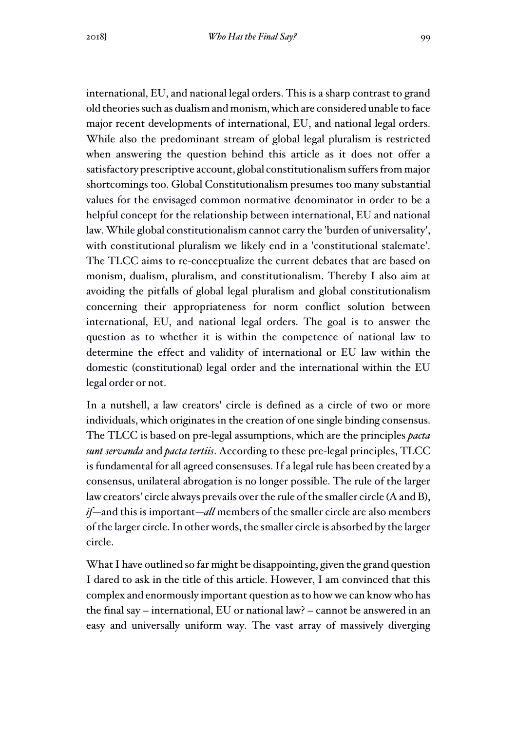international, EU, and national legal orders. This is a sharp contrast to grand old theories such as dualism and monism, which are considered unable to face major recent developments of international, EU, and national legal orders. While also the predominant stream of global legal pluralism is restricted when answering the question behind this article as it does not offer a satisfactory prescriptive account, global constitutionalism suffers from major shortcomings too. Global Constitutionalism presumes too many substantial values for the envisaged common normative denominator in order to be a helpful concept for the relationship between international, EU and national law. While global constitutionalism cannot carry the 'burden of universality', with constitutional pluralism we likely end in a 'constitutional stalemate'. The TLCC aims to re-conceptualize the current debates that are based on monism, dualism, pluralism, and constitutionalism. Thereby I also aim at avoiding the pitfalls of global legal pluralism and global constitutionalism concerning their appropriateness for norm conflict solution between international, EU, and national legal orders. The goal is to answer the question as to whether it is within the competence of national law to determine the effect and validity of international or EU law within the domestic (constitutional) legal order and the international within the EU legal order or not.

In a nutshell, a law creators' circle is defined as a circle of two or more individuals, which originates in the creation of one single binding consensus. The TLCC is based on pre-legal assumptions, which are the principles *pacta sunt servanda* and *pacta tertiis*. According to these pre-legal principles, TLCC is fundamental for all agreed consensuses. If a legal rule has been created by a consensus, unilateral abrogation is no longer possible. The rule of the larger law creators' circle always prevails over the rule of the smaller circle (A and B), *if*—and this is important—*all* members of the smaller circle are also members of the larger circle. In other words, the smaller circle is absorbed by the larger circle.

What I have outlined so far might be disappointing, given the grand question I dared to ask in the title of this article. However, I am convinced that this complex and enormously important question as to how we can know who has the final say – international, EU or national law? – cannot be answered in an easy and universally uniform way. The vast array of massively diverging